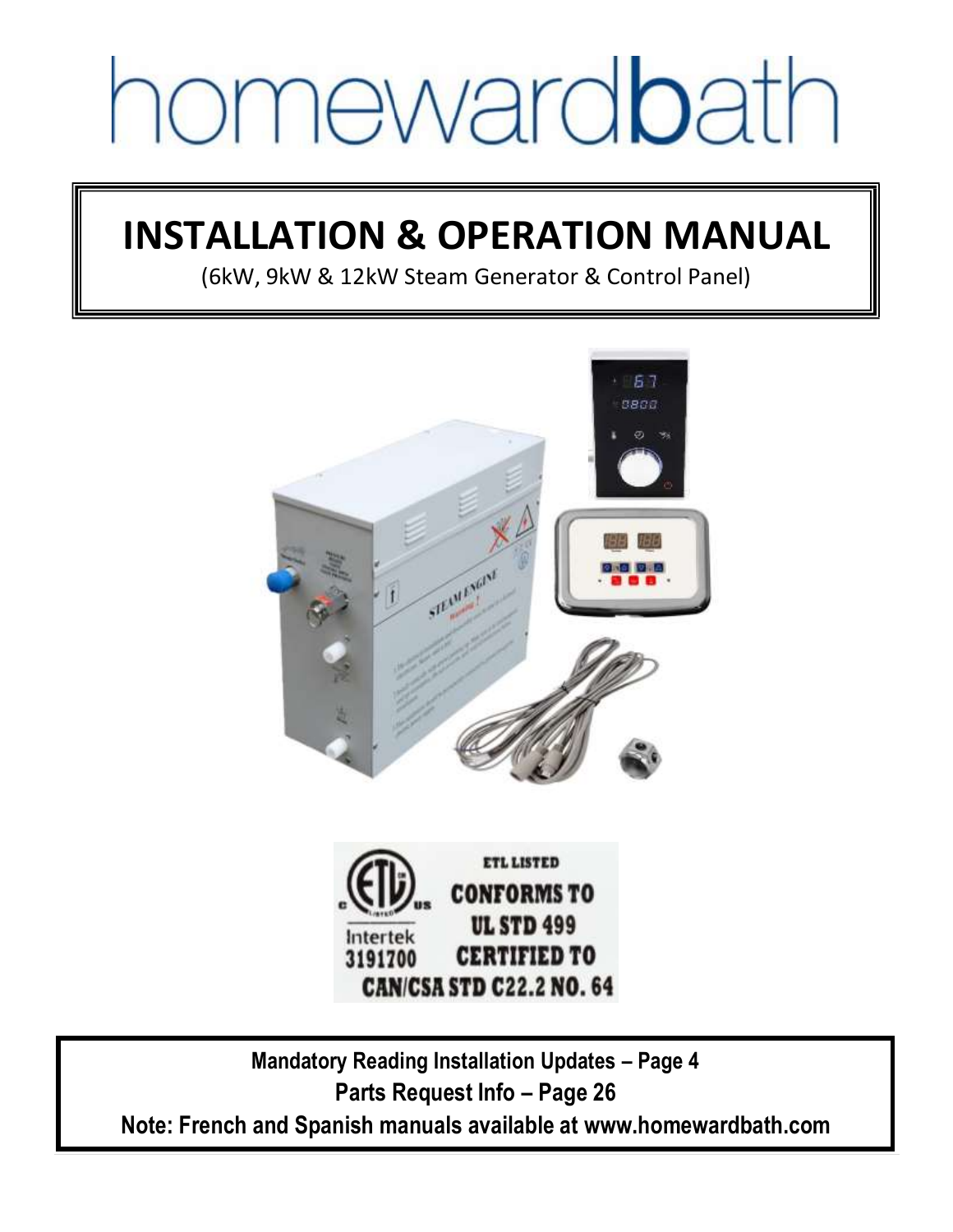# homewardbath

# **INSTALLATION & OPERATION MANUAL**

(6kW, 9kW & 12kW Steam Generator & Control Panel)





**Mandatory Reading Installation Updates – Page 4 Parts Request Info – Page 26 Note: French and Spanish manuals available at www.homewardbath.com**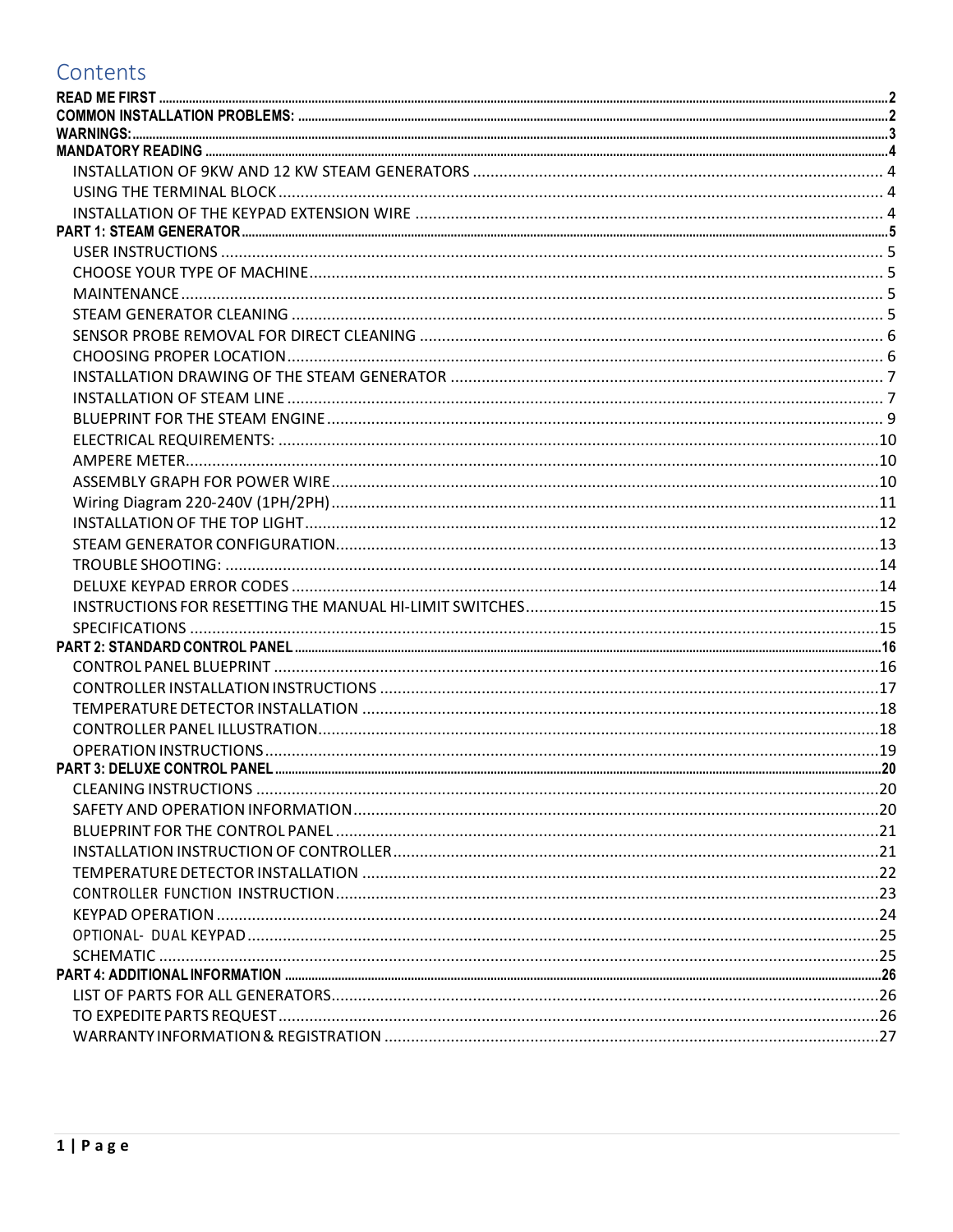## Contents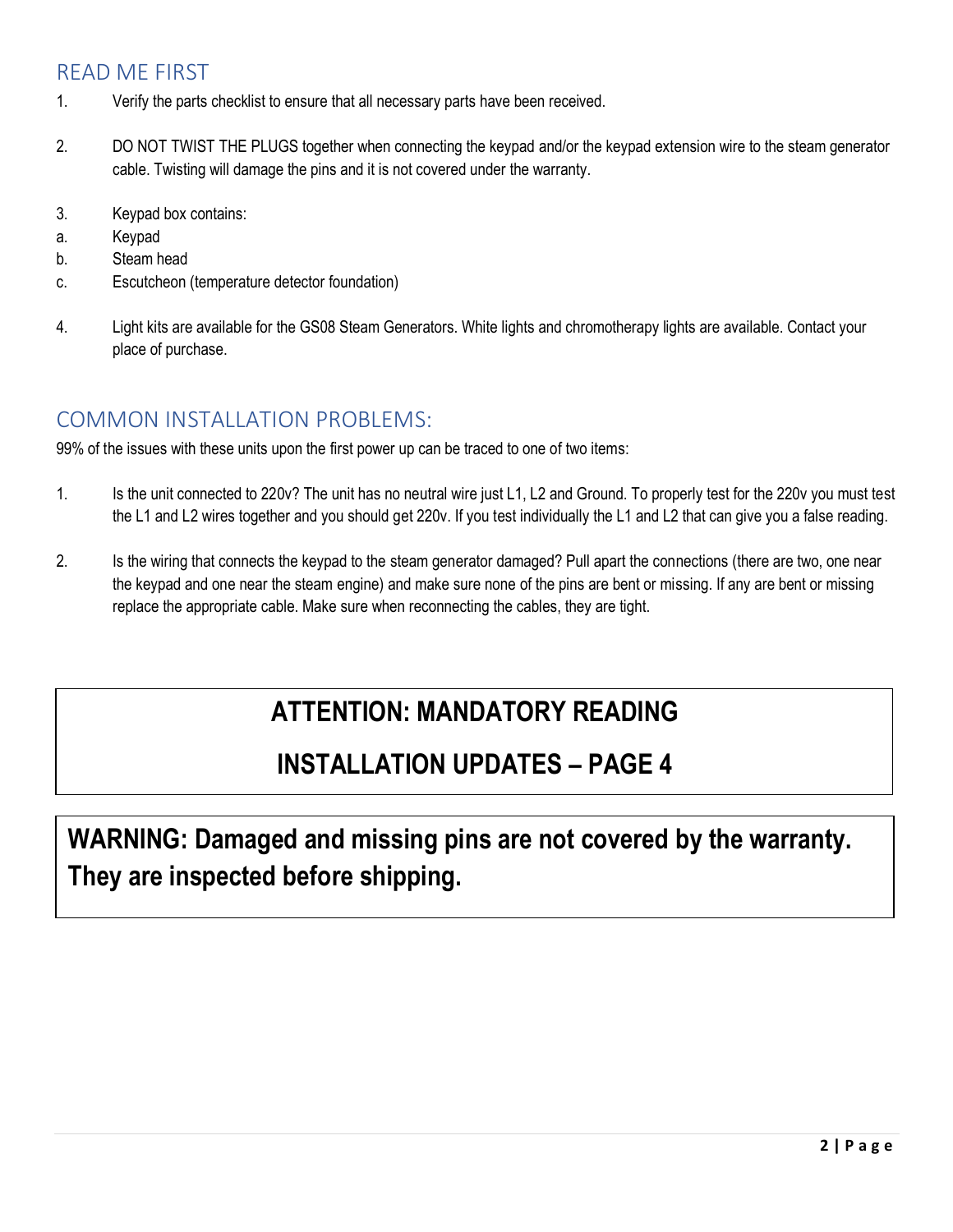## <span id="page-2-0"></span>READ ME FIRST

- 1. Verify the parts checklist to ensure that all necessary parts have been received.
- 2. DO NOT TWIST THE PLUGS together when connecting the keypad and/or the keypad extension wire to the steam generator cable. Twisting will damage the pins and it is not covered under the warranty.
- 3. Keypad box contains:
- a. Keypad
- b. Steam head
- c. Escutcheon (temperature detector foundation)
- 4. Light kits are available for the GS08 Steam Generators. White lights and chromotherapy lights are available. Contact your place of purchase.

## <span id="page-2-1"></span>COMMON INSTALLATION PROBLEMS:

99% of the issues with these units upon the first power up can be traced to one of two items:

- 1. Is the unit connected to 220v? The unit has no neutral wire just L1, L2 and Ground. To properly test for the 220v you must test the L1 and L2 wires together and you should get 220v. If you test individually the L1 and L2 that can give you a false reading.
- 2. Is the wiring that connects the keypad to the steam generator damaged? Pull apart the connections (there are two, one near the keypad and one near the steam engine) and make sure none of the pins are bent or missing. If any are bent or missing replace the appropriate cable. Make sure when reconnecting the cables, they are tight.

## **ATTENTION: MANDATORY READING**

## **INSTALLATION UPDATES – PAGE 4**

**WARNING: Damaged and missing pins are not covered by the warranty. They are inspected before shipping.**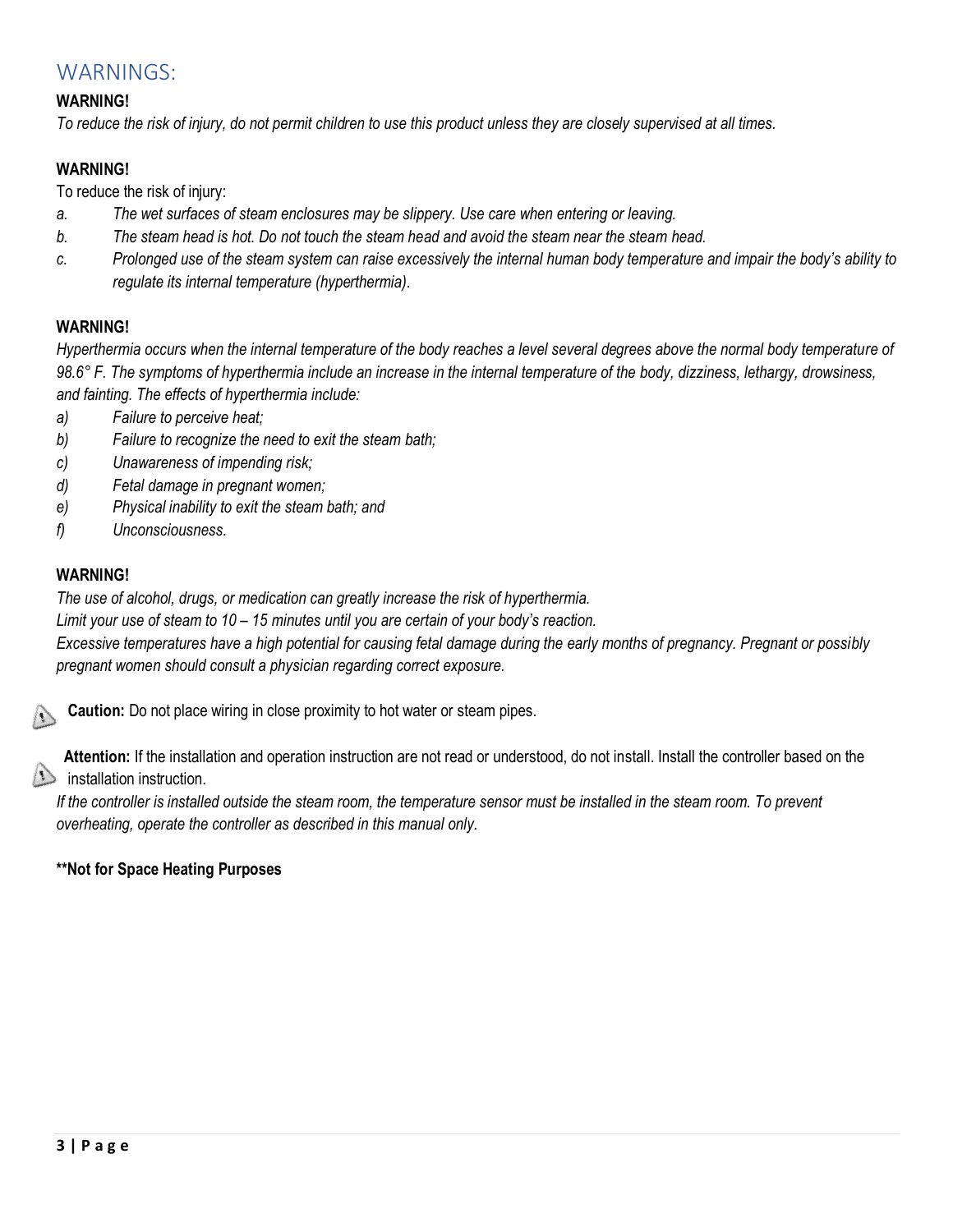## <span id="page-3-0"></span>WARNINGS:

## **WARNING!**

*To reduce the risk of injury, do not permit children to use this product unless they are closely supervised at all times.* 

## **WARNING!**

To reduce the risk of injury:

- *a. The wet surfaces of steam enclosures may be slippery. Use care when entering or leaving.*
- *b. The steam head is hot. Do not touch the steam head and avoid the steam near the steam head.*
- *c. Prolonged use of the steam system can raise excessively the internal human body temperature and impair the body's ability to regulate its internal temperature (hyperthermia).*

## **WARNING!**

*Hyperthermia occurs when the internal temperature of the body reaches a level several degrees above the normal body temperature of 98.6° F. The symptoms of hyperthermia include an increase in the internal temperature of the body, dizziness, lethargy, drowsiness, and fainting. The effects of hyperthermia include:* 

- *a) Failure to perceive heat;*
- *b) Failure to recognize the need to exit the steam bath;*
- *c) Unawareness of impending risk;*
- *d) Fetal damage in pregnant women;*
- *e) Physical inability to exit the steam bath; and*
- *f) Unconsciousness.*

## **WARNING!**

*The use of alcohol, drugs, or medication can greatly increase the risk of hyperthermia.* 

*Limit your use of steam to 10 – 15 minutes until you are certain of your body's reaction.* 

*Excessive temperatures have a high potential for causing fetal damage during the early months of pregnancy. Pregnant or possibly pregnant women should consult a physician regarding correct exposure.*

**Caution:** Do not place wiring in close proximity to hot water or steam pipes.

**Attention:** If the installation and operation instruction are not read or understood, do not install. Install the controller based on the  $\langle \cdot \rangle$  installation instruction.

*If the controller is installed outside the steam room, the temperature sensor must be installed in the steam room. To prevent overheating, operate the controller as described in this manual only.* 

## **\*\*Not for Space Heating Purposes**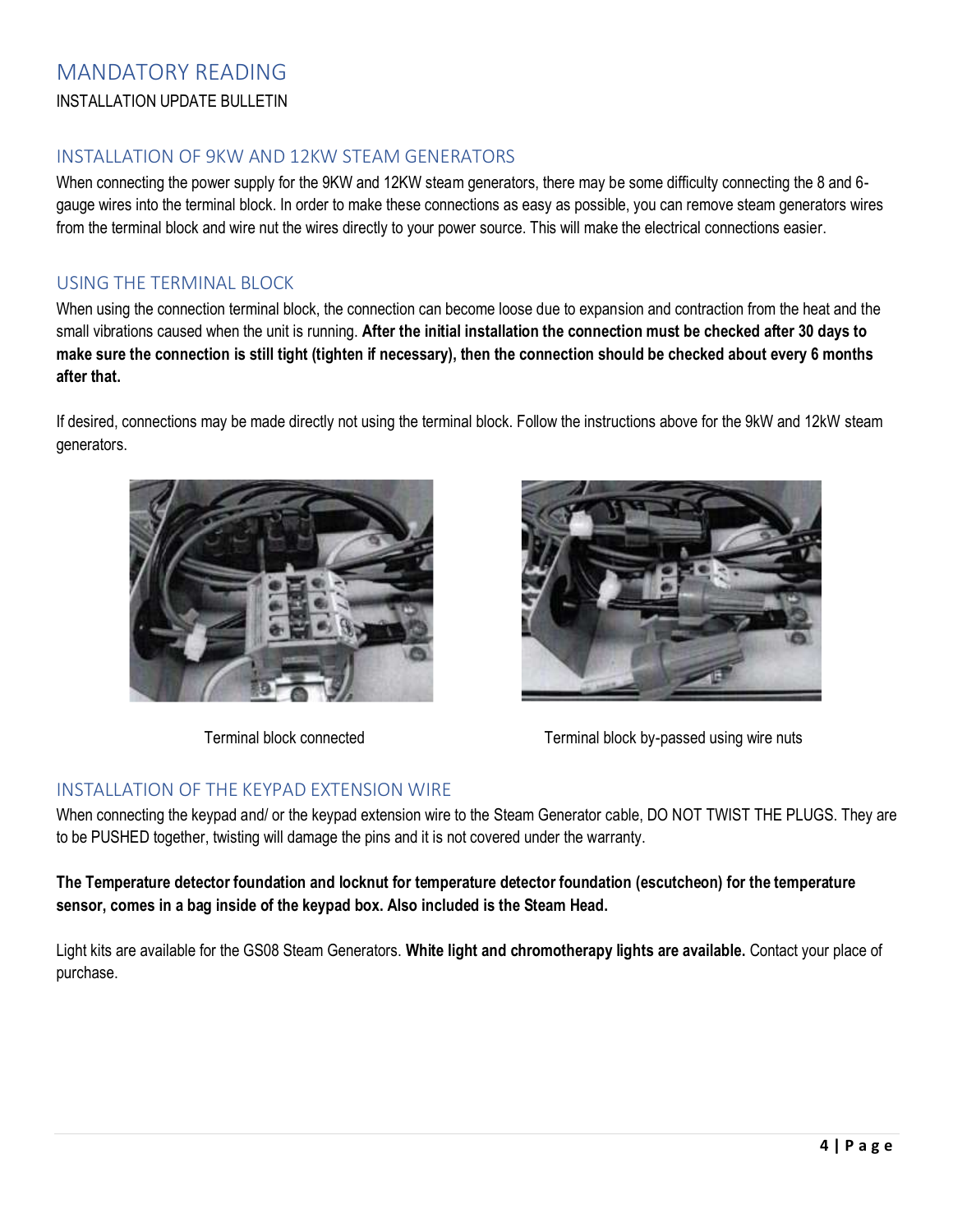## <span id="page-4-0"></span>MANDATORY READING INSTALLATION UPDATE BULLETIN

## <span id="page-4-1"></span>INSTALLATION OF 9KW AND 12KW STEAM GENERATORS

When connecting the power supply for the 9KW and 12KW steam generators, there may be some difficulty connecting the 8 and 6gauge wires into the terminal block. In order to make these connections as easy as possible, you can remove steam generators wires from the terminal block and wire nut the wires directly to your power source. This will make the electrical connections easier.

## <span id="page-4-2"></span>USING THE TERMINAL BLOCK

When using the connection terminal block, the connection can become loose due to expansion and contraction from the heat and the small vibrations caused when the unit is running. **After the initial installation the connection must be checked after 30 days to make sure the connection is still tight (tighten if necessary), then the connection should be checked about every 6 months after that.** 

If desired, connections may be made directly not using the terminal block. Follow the instructions above for the 9kW and 12kW steam generators.





Terminal block connected Terminal block by-passed using wire nuts

## <span id="page-4-3"></span>INSTALLATION OF THE KEYPAD EXTENSION WIRE

When connecting the keypad and/ or the keypad extension wire to the Steam Generator cable, DO NOT TWIST THE PLUGS. They are to be PUSHED together, twisting will damage the pins and it is not covered under the warranty.

**The Temperature detector foundation and locknut for temperature detector foundation (escutcheon) for the temperature sensor, comes in a bag inside of the keypad box. Also included is the Steam Head.** 

Light kits are available for the GS08 Steam Generators. **White light and chromotherapy lights are available.** Contact your place of purchase.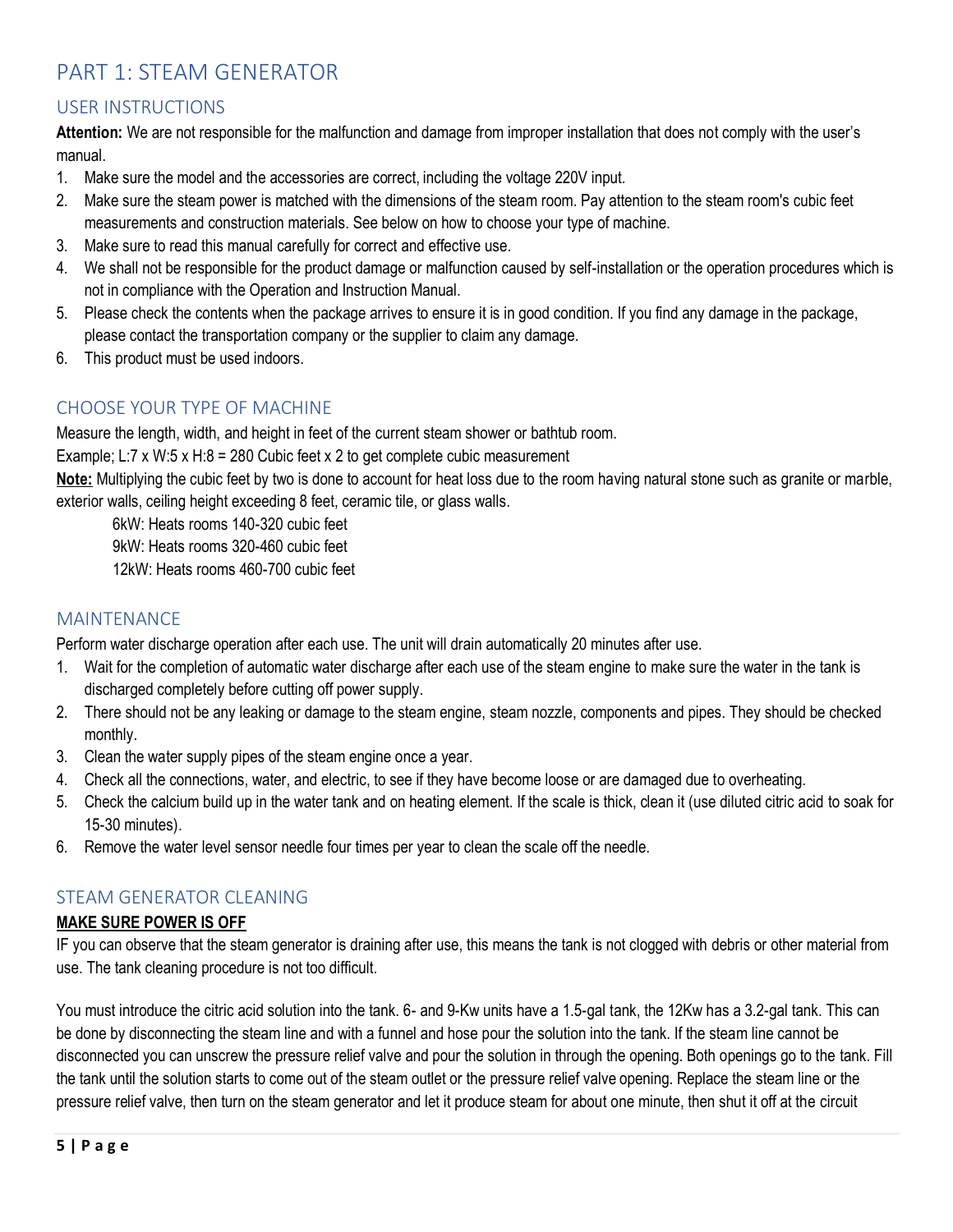## <span id="page-5-0"></span>PART 1: STEAM GENERATOR

## <span id="page-5-1"></span>USER INSTRUCTIONS

**Attention:** We are not responsible for the malfunction and damage from improper installation that does not comply with the user's manual.

- 1. Make sure the model and the accessories are correct, including the voltage 220V input.
- 2. Make sure the steam power is matched with the dimensions of the steam room. Pay attention to the steam room's cubic feet measurements and construction materials. See below on how to choose your type of machine.
- 3. Make sure to read this manual carefully for correct and effective use.
- 4. We shall not be responsible for the product damage or malfunction caused by self-installation or the operation procedures which is not in compliance with the Operation and Instruction Manual.
- 5. Please check the contents when the package arrives to ensure it is in good condition. If you find any damage in the package, please contact the transportation company or the supplier to claim any damage.
- 6. This product must be used indoors.

## <span id="page-5-2"></span>CHOOSE YOUR TYPE OF MACHINE

Measure the length, width, and height in feet of the current steam shower or bathtub room.

Example; L:7 x W:5 x H:8 = 280 Cubic feet x 2 to get complete cubic measurement

**Note:** Multiplying the cubic feet by two is done to account for heat loss due to the room having natural stone such as granite or marble, exterior walls, ceiling height exceeding 8 feet, ceramic tile, or glass walls.

6kW: Heats rooms 140-320 cubic feet

9kW: Heats rooms 320-460 cubic feet

12kW: Heats rooms 460-700 cubic feet

## <span id="page-5-3"></span>**MAINTENANCE**

Perform water discharge operation after each use. The unit will drain automatically 20 minutes after use.

- 1. Wait for the completion of automatic water discharge after each use of the steam engine to make sure the water in the tank is discharged completely before cutting off power supply.
- 2. There should not be any leaking or damage to the steam engine, steam nozzle, components and pipes. They should be checked monthly.
- 3. Clean the water supply pipes of the steam engine once a year.
- 4. Check all the connections, water, and electric, to see if they have become loose or are damaged due to overheating.
- 5. Check the calcium build up in the water tank and on heating element. If the scale is thick, clean it (use diluted citric acid to soak for 15-30 minutes).
- 6. Remove the water level sensor needle four times per year to clean the scale off the needle.

## <span id="page-5-4"></span>STEAM GENERATOR CLEANING

## **MAKE SURE POWER IS OFF**

IF you can observe that the steam generator is draining after use, this means the tank is not clogged with debris or other material from use. The tank cleaning procedure is not too difficult.

You must introduce the citric acid solution into the tank. 6- and 9-Kw units have a 1.5-gal tank, the 12Kw has a 3.2-gal tank. This can be done by disconnecting the steam line and with a funnel and hose pour the solution into the tank. If the steam line cannot be disconnected you can unscrew the pressure relief valve and pour the solution in through the opening. Both openings go to the tank. Fill the tank until the solution starts to come out of the steam outlet or the pressure relief valve opening. Replace the steam line or the pressure relief valve, then turn on the steam generator and let it produce steam for about one minute, then shut it off at the circuit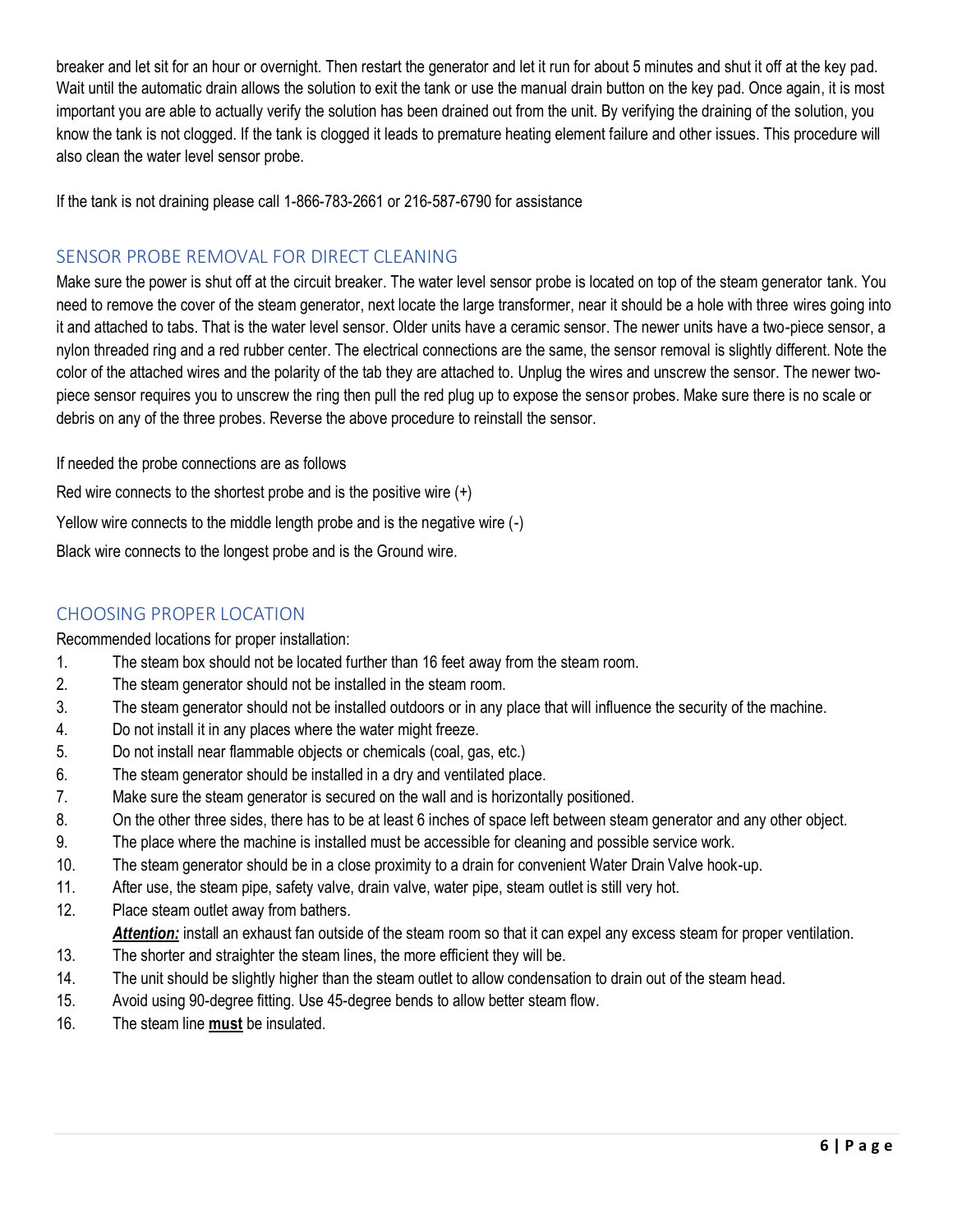breaker and let sit for an hour or overnight. Then restart the generator and let it run for about 5 minutes and shut it off at the key pad. Wait until the automatic drain allows the solution to exit the tank or use the manual drain button on the key pad. Once again, it is most important you are able to actually verify the solution has been drained out from the unit. By verifying the draining of the solution, you know the tank is not clogged. If the tank is clogged it leads to premature heating element failure and other issues. This procedure will also clean the water level sensor probe.

If the tank is not draining please call 1-866-783-2661 or 216-587-6790 for assistance

## <span id="page-6-0"></span>SENSOR PROBE REMOVAL FOR DIRECT CLEANING

Make sure the power is shut off at the circuit breaker. The water level sensor probe is located on top of the steam generator tank. You need to remove the cover of the steam generator, next locate the large transformer, near it should be a hole with three wires going into it and attached to tabs. That is the water level sensor. Older units have a ceramic sensor. The newer units have a two-piece sensor, a nylon threaded ring and a red rubber center. The electrical connections are the same, the sensor removal is slightly different. Note the color of the attached wires and the polarity of the tab they are attached to. Unplug the wires and unscrew the sensor. The newer twopiece sensor requires you to unscrew the ring then pull the red plug up to expose the sensor probes. Make sure there is no scale or debris on any of the three probes. Reverse the above procedure to reinstall the sensor.

If needed the probe connections are as follows

Red wire connects to the shortest probe and is the positive wire (+)

Yellow wire connects to the middle length probe and is the negative wire (-)

Black wire connects to the longest probe and is the Ground wire.

## <span id="page-6-1"></span>CHOOSING PROPER LOCATION

Recommended locations for proper installation:

- 1. The steam box should not be located further than 16 feet away from the steam room.
- 2. The steam generator should not be installed in the steam room.
- 3. The steam generator should not be installed outdoors or in any place that will influence the security of the machine.
- 4. Do not install it in any places where the water might freeze.
- 5. Do not install near flammable objects or chemicals (coal, gas, etc.)
- 6. The steam generator should be installed in a dry and ventilated place.
- 7. Make sure the steam generator is secured on the wall and is horizontally positioned.
- 8. On the other three sides, there has to be at least 6 inches of space left between steam generator and any other object.
- 9. The place where the machine is installed must be accessible for cleaning and possible service work.
- 10. The steam generator should be in a close proximity to a drain for convenient Water Drain Valve hook-up.
- 11. After use, the steam pipe, safety valve, drain valve, water pipe, steam outlet is still very hot.
- 12. Place steam outlet away from bathers. *Attention:* install an exhaust fan outside of the steam room so that it can expel any excess steam for proper ventilation.
- 13. The shorter and straighter the steam lines, the more efficient they will be.
- 14. The unit should be slightly higher than the steam outlet to allow condensation to drain out of the steam head.
- 15. Avoid using 90-degree fitting. Use 45-degree bends to allow better steam flow.
- 16. The steam line **must** be insulated.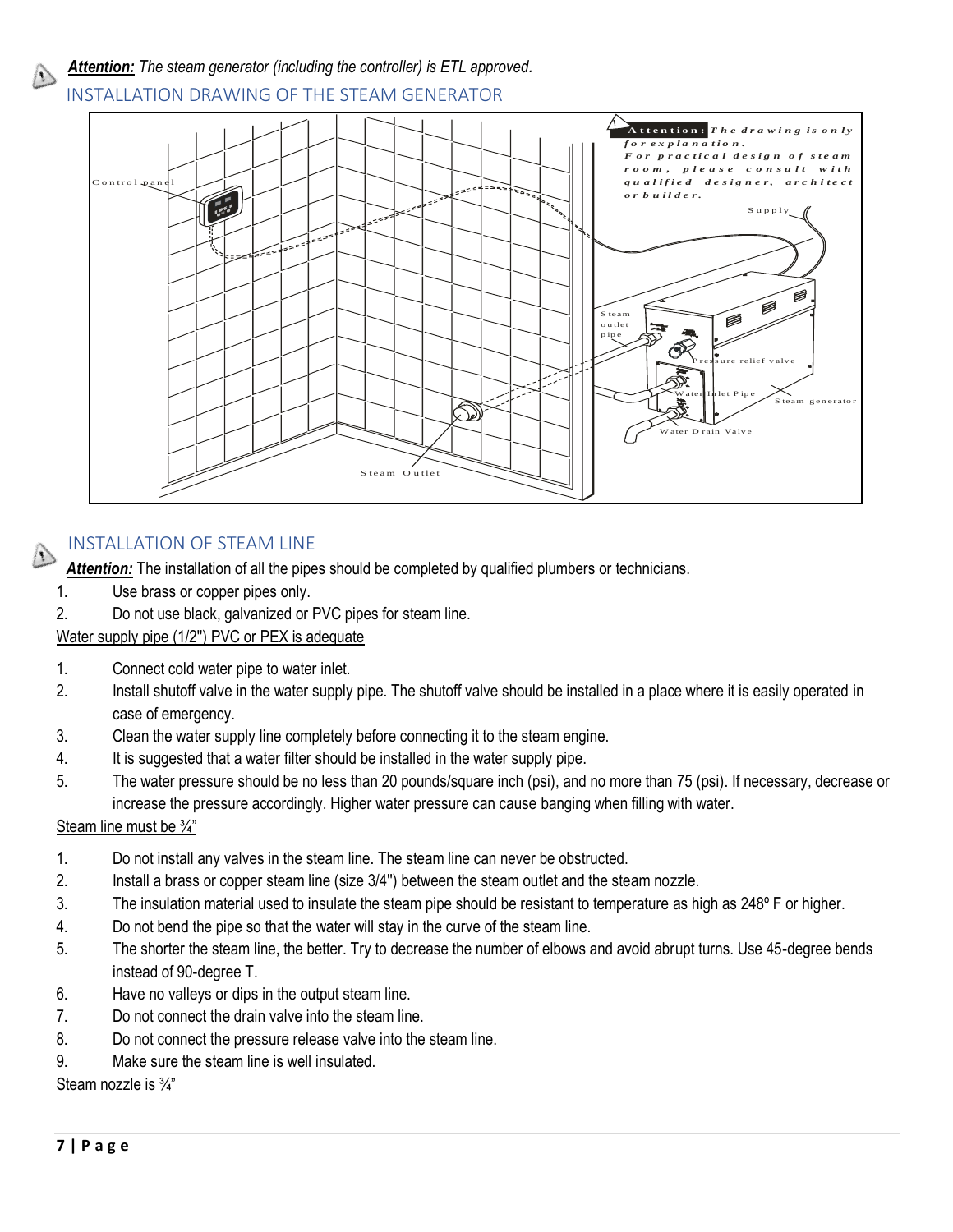

<span id="page-7-0"></span>INSTALLATION DRAWING OF THE STEAM GENERATOR



## <span id="page-7-1"></span>INSTALLATION OF STEAM LINE

Attention: The installation of all the pipes should be completed by qualified plumbers or technicians.

- 1. Use brass or copper pipes only.
- 2. Do not use black, galvanized or PVC pipes for steam line.

Water supply pipe (1/2'') PVC or PEX is adequate

- 1. Connect cold water pipe to water inlet.
- 2. Install shutoff valve in the water supply pipe. The shutoff valve should be installed in a place where it is easily operated in case of emergency.
- 3. Clean the water supply line completely before connecting it to the steam engine.
- 4. It is suggested that a water filter should be installed in the water supply pipe.
- 5. The water pressure should be no less than 20 pounds/square inch (psi), and no more than 75 (psi). If necessary, decrease or increase the pressure accordingly. Higher water pressure can cause banging when filling with water.

Steam line must be ¾"

- 1. Do not install any valves in the steam line. The steam line can never be obstructed.
- 2. Install a brass or copper steam line (size 3/4'') between the steam outlet and the steam nozzle.
- 3. The insulation material used to insulate the steam pipe should be resistant to temperature as high as 248º F or higher.
- 4. Do not bend the pipe so that the water will stay in the curve of the steam line.
- 5. The shorter the steam line, the better. Try to decrease the number of elbows and avoid abrupt turns. Use 45-degree bends instead of 90-degree T.
- 6. Have no valleys or dips in the output steam line.
- 7. Do not connect the drain valve into the steam line.
- 8. Do not connect the pressure release valve into the steam line.
- 9. Make sure the steam line is well insulated.

Steam nozzle is ¾"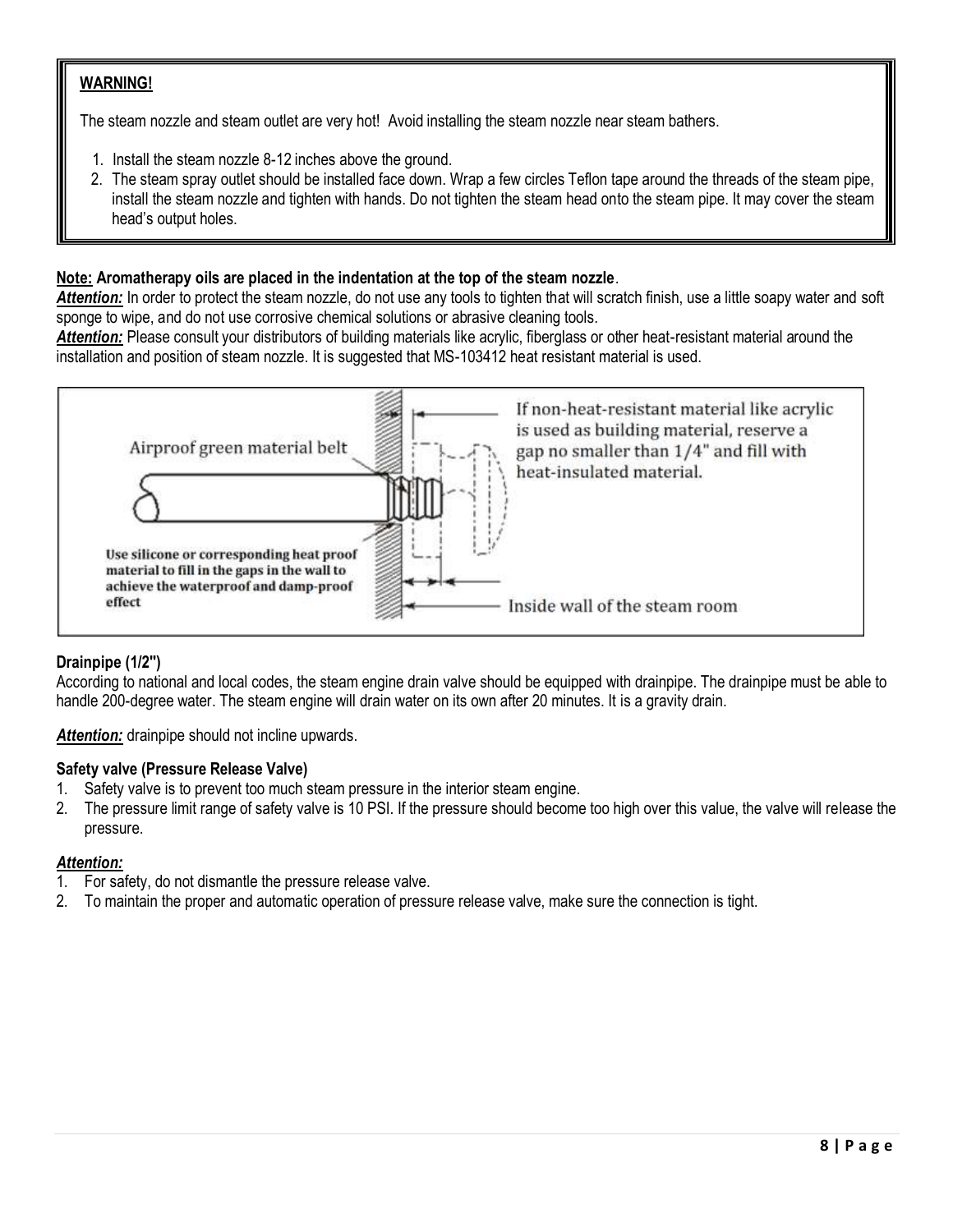## **WARNING!**

The steam nozzle and steam outlet are very hot! Avoid installing the steam nozzle near steam bathers.

- 1. Install the steam nozzle 8-12 inches above the ground.
- 2. The steam spray outlet should be installed face down. Wrap a few circles Teflon tape around the threads of the steam pipe, install the steam nozzle and tighten with hands. Do not tighten the steam head onto the steam pipe. It may cover the steam head's output holes.

## **Note: Aromatherapy oils are placed in the indentation at the top of the steam nozzle**.

*Attention:* In order to protect the steam nozzle, do not use any tools to tighten that will scratch finish, use a little soapy water and soft sponge to wipe, and do not use corrosive chemical solutions or abrasive cleaning tools.

*Attention:* Please consult your distributors of building materials like acrylic, fiberglass or other heat-resistant material around the installation and position of steam nozzle. It is suggested that MS-103412 heat resistant material is used.



## **Drainpipe (1/2'')**

According to national and local codes, the steam engine drain valve should be equipped with drainpipe. The drainpipe must be able to handle 200-degree water. The steam engine will drain water on its own after 20 minutes. It is a gravity drain.

*Attention:* drainpipe should not incline upwards.

## **Safety valve (Pressure Release Valve)**

- 1. Safety valve is to prevent too much steam pressure in the interior steam engine.
- 2. The pressure limit range of safety valve is 10 PSI. If the pressure should become too high over this value, the valve will release the pressure.

## *Attention:*

- 1. For safety, do not dismantle the pressure release valve.
- 2. To maintain the proper and automatic operation of pressure release valve, make sure the connection is tight.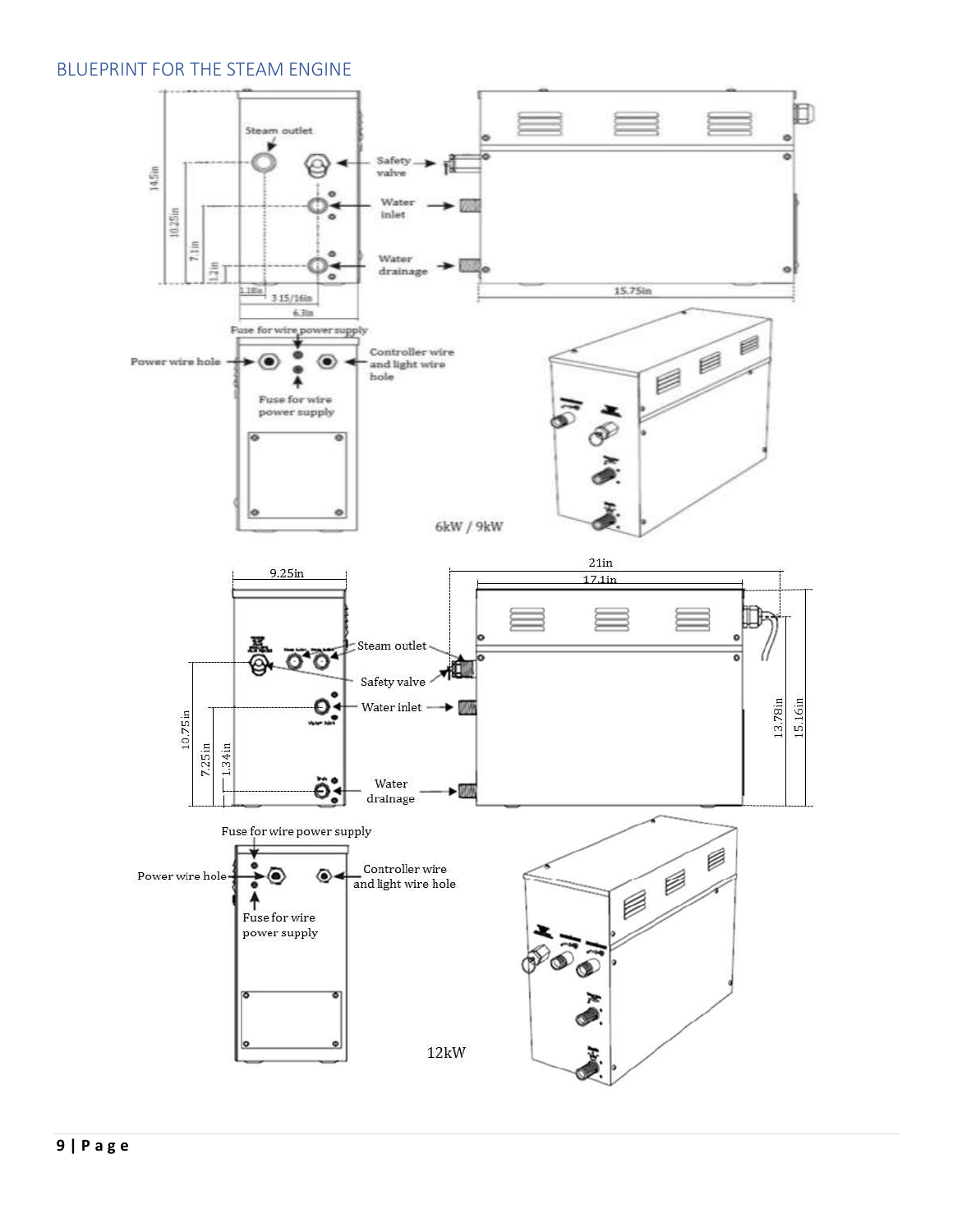## <span id="page-9-0"></span>BLUEPRINT FOR THE STEAM ENGINE

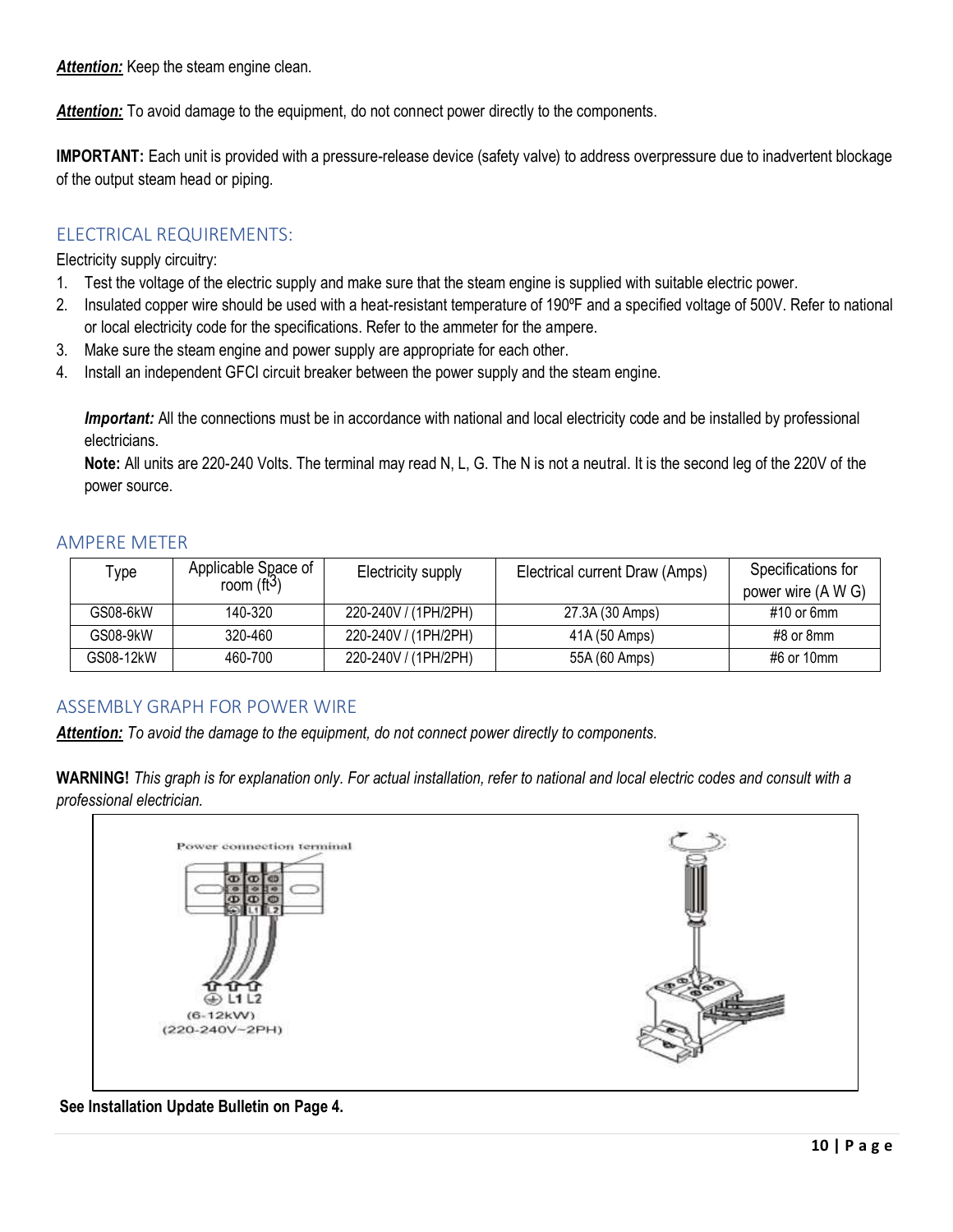*Attention:* Keep the steam engine clean.

**Attention:** To avoid damage to the equipment, do not connect power directly to the components.

**IMPORTANT:** Each unit is provided with a pressure-release device (safety valve) to address overpressure due to inadvertent blockage of the output steam head or piping.

## <span id="page-10-0"></span>ELECTRICAL REQUIREMENTS:

Electricity supply circuitry:

- 1. Test the voltage of the electric supply and make sure that the steam engine is supplied with suitable electric power.
- 2. Insulated copper wire should be used with a heat-resistant temperature of 190ºF and a specified voltage of 500V. Refer to national or local electricity code for the specifications. Refer to the ammeter for the ampere.
- 3. Make sure the steam engine and power supply are appropriate for each other.
- 4. Install an independent GFCI circuit breaker between the power supply and the steam engine.

*Important:* All the connections must be in accordance with national and local electricity code and be installed by professional electricians.

**Note:** All units are 220-240 Volts. The terminal may read N, L, G. The N is not a neutral. It is the second leg of the 220V of the power source.

## <span id="page-10-1"></span>AMPERE METER

| Type      | Applicable Space of | Electricity supply   | Electrical current Draw (Amps) | Specifications for |
|-----------|---------------------|----------------------|--------------------------------|--------------------|
|           | room $(f3)$         |                      |                                | power wire (A W G) |
| GS08-6kW  | 140-320             | 220-240V / (1PH/2PH) | 27.3A (30 Amps)                | #10 or 6mm         |
| GS08-9kW  | 320-460             | 220-240V / (1PH/2PH) | 41A (50 Amps)                  | #8 or 8mm          |
| GS08-12kW | 460-700             | 220-240V / (1PH/2PH) | 55A (60 Amps)                  | #6 or 10mm         |

## <span id="page-10-2"></span>ASSEMBLY GRAPH FOR POWER WIRE

*Attention: To avoid the damage to the equipment, do not connect power directly to components.* 

**WARNING!** *This graph is for explanation only. For actual installation, refer to national and local electric codes and consult with a professional electrician.*



#### **See Installation Update Bulletin on Page 4.**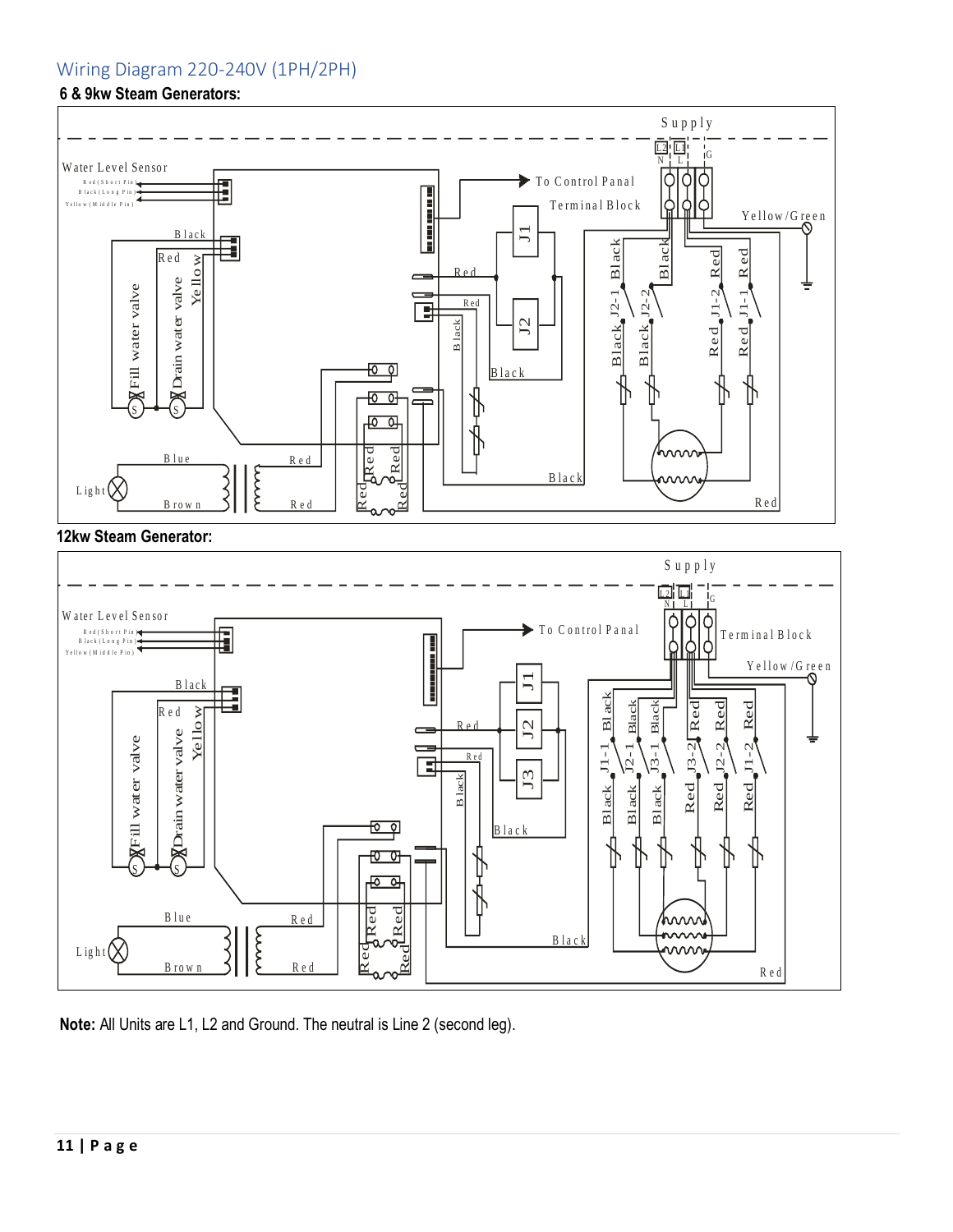## <span id="page-11-0"></span>Wiring Diagram 220-240V (1PH/2PH)

#### **6 & 9kw Steam Generators:**



 $G_{\rm eff}$  ,  $G_{\rm eff}$  ,  $G_{\rm eff}$  ,  $G_{\rm eff}$  ,  $G_{\rm eff}$  ,  $G_{\rm eff}$  ,  $G_{\rm eff}$  ,  $G_{\rm eff}$  ,  $G_{\rm eff}$  ,  $G_{\rm eff}$  ,  $G_{\rm eff}$  ,  $G_{\rm eff}$  ,  $G_{\rm eff}$  ,  $G_{\rm eff}$  ,  $G_{\rm eff}$  ,  $G_{\rm eff}$  ,  $G_{\rm eff}$  ,  $G_{\rm eff}$  ,  $G_{\rm eff}$  ,  $G_{\rm eff}$  ,

#### **12kw Steam Generator:**



**Note:** All Units are L1, L2 and Ground. The neutral is Line 2 (second leg).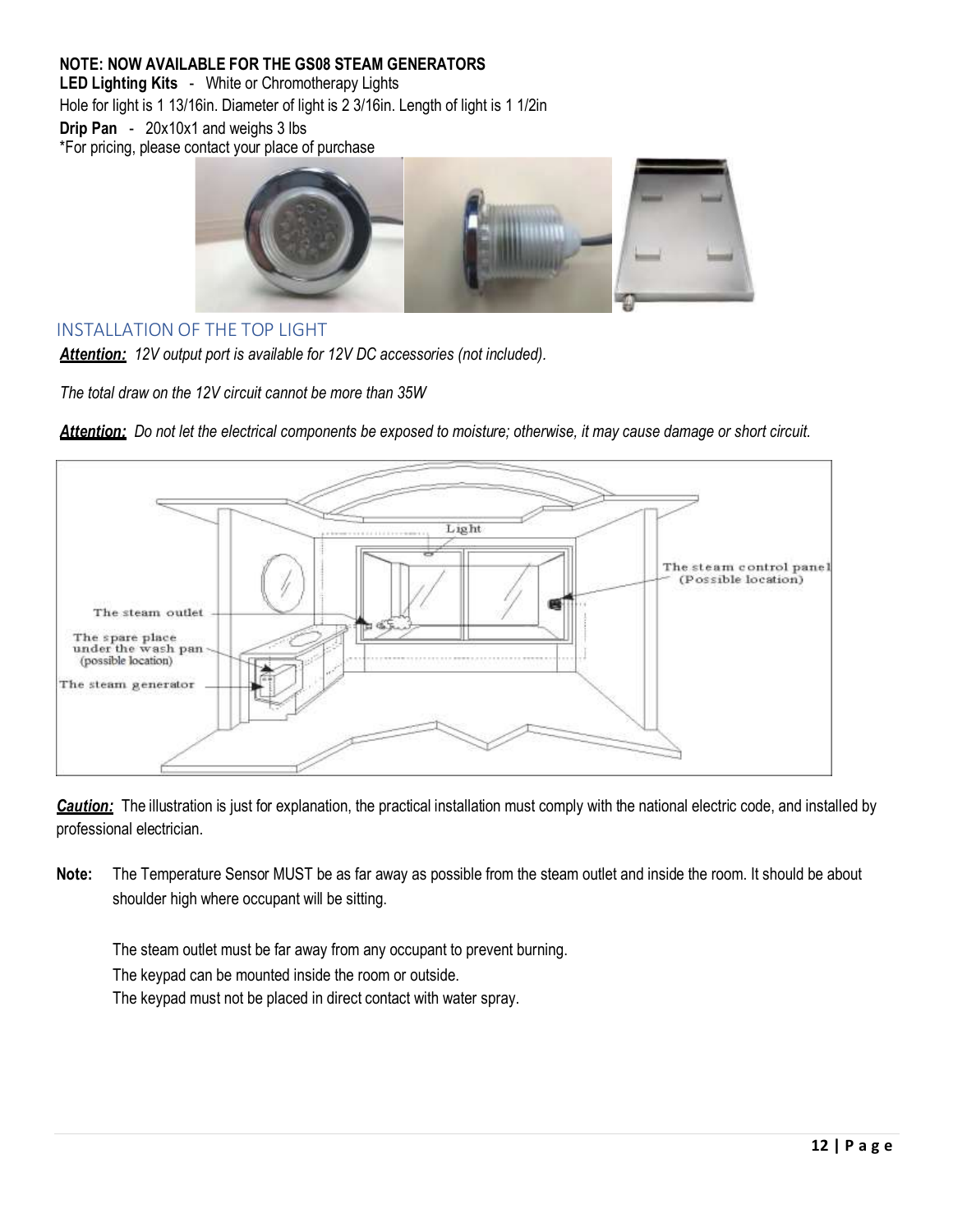## **NOTE: NOW AVAILABLE FOR THE GS08 STEAM GENERATORS**

**LED Lighting Kits** - White or Chromotherapy Lights Hole for light is 1 13/16in. Diameter of light is 2 3/16in. Length of light is 1 1/2in **Drip Pan** - 20x10x1 and weighs 3 lbs \*For pricing, please contact your place of purchase



## <span id="page-12-0"></span>INSTALLATION OF THE TOP LIGHT

*Attention: 12V output port is available for 12V DC accessories (not included).*

*The total draw on the 12V circuit cannot be more than 35W*



*Attention: Do not let the electrical components be exposed to moisture; otherwise, it may cause damage or short circuit.*

*Caution:* The illustration is just for explanation, the practical installation must comply with the national electric code, and installed by professional electrician.

**Note:** The Temperature Sensor MUST be as far away as possible from the steam outlet and inside the room. It should be about shoulder high where occupant will be sitting.

The steam outlet must be far away from any occupant to prevent burning. The keypad can be mounted inside the room or outside.

The keypad must not be placed in direct contact with water spray.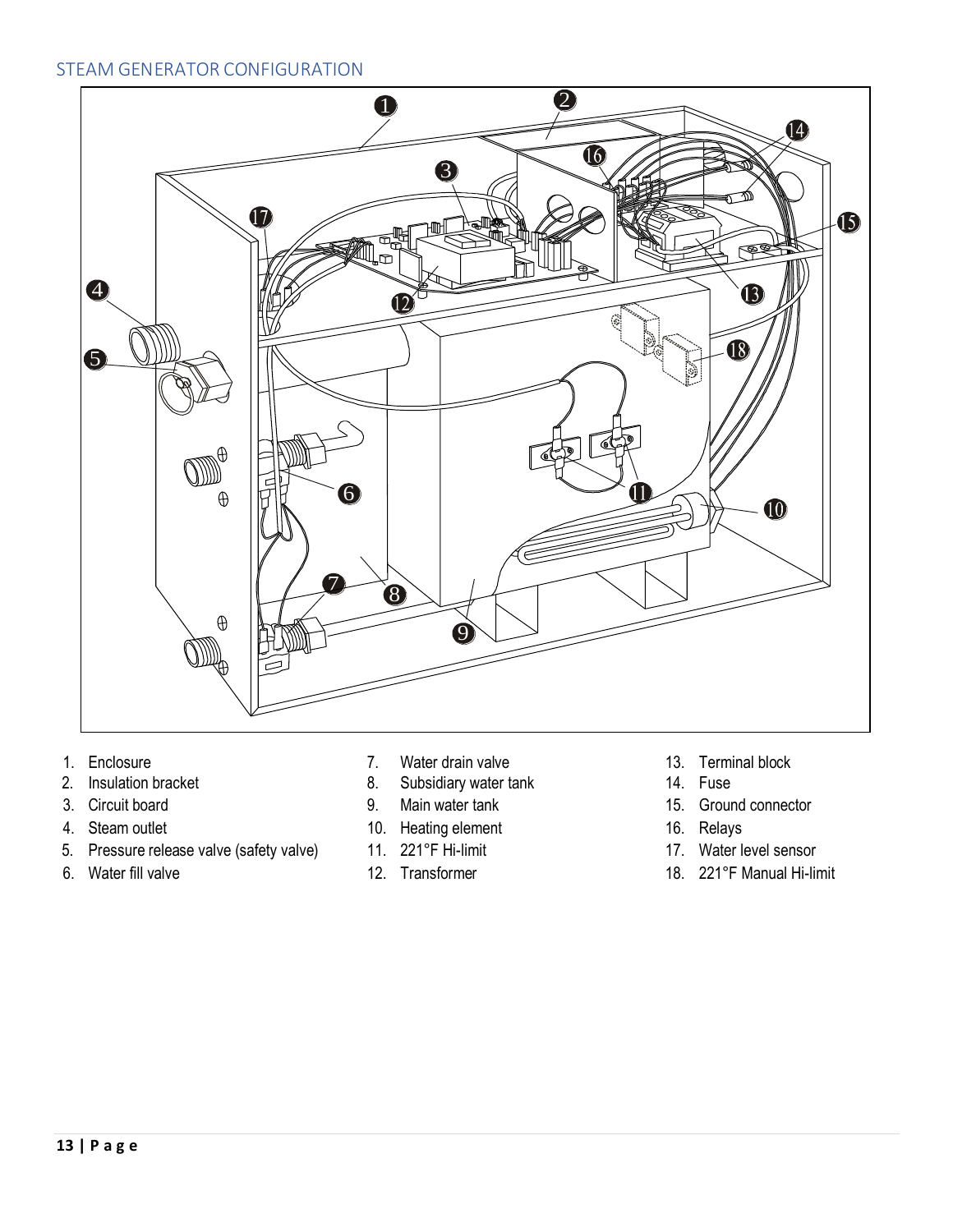## <span id="page-13-0"></span>STEAM GENERATOR CONFIGURATION



- 
- 2. Insulation bracket
- 
- 4. Steam outlet
- 5. Pressure release valve (safety valve)  $11. 221$ °F Hi-limit 17. Water level sensor
- 
- 1. Enclosure **1. Enclosure** 13. Terminal block
- 2. Insulation bracket The Contract Contract Contract B. Subsidiary water tank 14. Fuse
	-
- ender the control of the control of the control of the control of the control of the control of the control of<br>4. Steam outlet the control of the control of the control of the control of the control of the control of the c
	- 11.  $221^\circ$ F Hi-limit
	-
- 
- 14. Fuse
- 3. Circuit board 9. Main water tank 15. Ground connector
	- 16. Relays
	- 17. Water level sensor
- 6. Water fill valve 12. Transformer 12. Transformer 18. 221°F Manual Hi-limit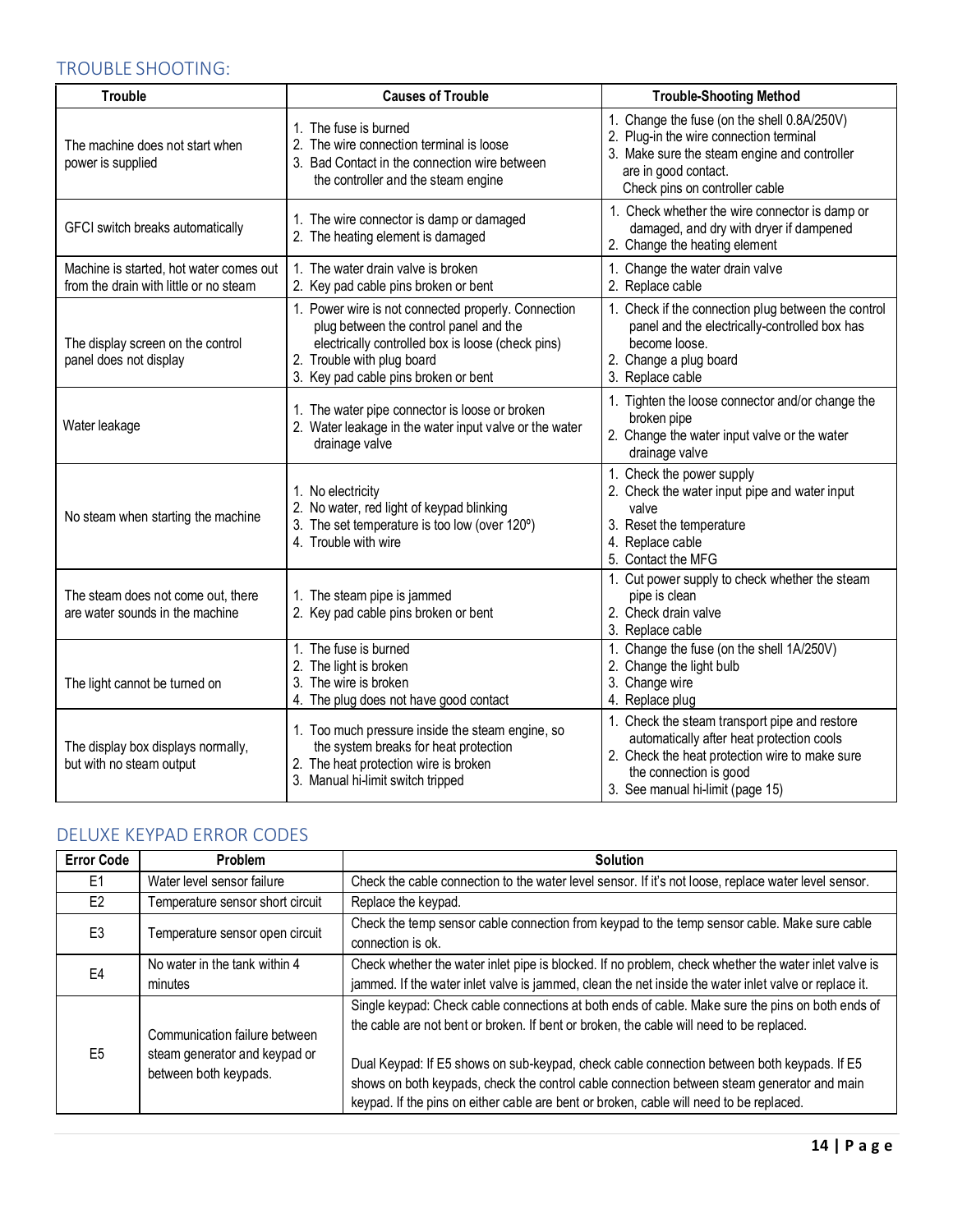## <span id="page-14-0"></span>TROUBLE SHOOTING:

| <b>Trouble</b>                                                                    | <b>Causes of Trouble</b>                                                                                                                                                                                                 | <b>Trouble-Shooting Method</b>                                                                                                                                                                             |
|-----------------------------------------------------------------------------------|--------------------------------------------------------------------------------------------------------------------------------------------------------------------------------------------------------------------------|------------------------------------------------------------------------------------------------------------------------------------------------------------------------------------------------------------|
| The machine does not start when<br>power is supplied                              | 1. The fuse is burned<br>2. The wire connection terminal is loose<br>3. Bad Contact in the connection wire between<br>the controller and the steam engine                                                                | 1. Change the fuse (on the shell 0.8A/250V)<br>2. Plug-in the wire connection terminal<br>3. Make sure the steam engine and controller<br>are in good contact.<br>Check pins on controller cable           |
| GFCI switch breaks automatically                                                  | 1. The wire connector is damp or damaged<br>2. The heating element is damaged                                                                                                                                            | 1. Check whether the wire connector is damp or<br>damaged, and dry with dryer if dampened<br>2. Change the heating element                                                                                 |
| Machine is started, hot water comes out<br>from the drain with little or no steam | 1. The water drain valve is broken<br>2. Key pad cable pins broken or bent                                                                                                                                               | 1. Change the water drain valve<br>2. Replace cable                                                                                                                                                        |
| The display screen on the control<br>panel does not display                       | 1. Power wire is not connected properly. Connection<br>plug between the control panel and the<br>electrically controlled box is loose (check pins)<br>2. Trouble with plug board<br>3. Key pad cable pins broken or bent | 1. Check if the connection plug between the control<br>panel and the electrically-controlled box has<br>become loose.<br>2. Change a plug board<br>3. Replace cable                                        |
| Water leakage                                                                     | 1. The water pipe connector is loose or broken<br>2. Water leakage in the water input valve or the water<br>drainage valve                                                                                               | 1. Tighten the loose connector and/or change the<br>broken pipe<br>2. Change the water input valve or the water<br>drainage valve                                                                          |
| No steam when starting the machine                                                | 1. No electricity<br>2. No water, red light of keypad blinking<br>3. The set temperature is too low (over 120°)<br>4. Trouble with wire                                                                                  | 1. Check the power supply<br>2. Check the water input pipe and water input<br>valve<br>3. Reset the temperature<br>4. Replace cable<br>5. Contact the MFG                                                  |
| The steam does not come out, there<br>are water sounds in the machine             | 1. The steam pipe is jammed<br>2. Key pad cable pins broken or bent                                                                                                                                                      | 1. Cut power supply to check whether the steam<br>pipe is clean<br>2. Check drain valve<br>3. Replace cable                                                                                                |
| The light cannot be turned on                                                     | 1. The fuse is burned<br>2. The light is broken<br>3. The wire is broken<br>4. The plug does not have good contact                                                                                                       | 1. Change the fuse (on the shell 1A/250V)<br>2. Change the light bulb<br>3. Change wire<br>4. Replace plug                                                                                                 |
| The display box displays normally,<br>but with no steam output                    | 1. Too much pressure inside the steam engine, so<br>the system breaks for heat protection<br>2. The heat protection wire is broken<br>3. Manual hi-limit switch tripped                                                  | 1. Check the steam transport pipe and restore<br>automatically after heat protection cools<br>2. Check the heat protection wire to make sure<br>the connection is good<br>3. See manual hi-limit (page 15) |

## <span id="page-14-1"></span>DELUXE KEYPAD ERROR CODES

| <b>Error Code</b> | Problem                                                                                 | <b>Solution</b>                                                                                                                                                                                                                                                                                                                                                                                                                                                                     |
|-------------------|-----------------------------------------------------------------------------------------|-------------------------------------------------------------------------------------------------------------------------------------------------------------------------------------------------------------------------------------------------------------------------------------------------------------------------------------------------------------------------------------------------------------------------------------------------------------------------------------|
| F1                | Water level sensor failure                                                              | Check the cable connection to the water level sensor. If it's not loose, replace water level sensor.                                                                                                                                                                                                                                                                                                                                                                                |
| E <sub>2</sub>    | Temperature sensor short circuit                                                        | Replace the keypad.                                                                                                                                                                                                                                                                                                                                                                                                                                                                 |
| E <sub>3</sub>    | Temperature sensor open circuit                                                         | Check the temp sensor cable connection from keypad to the temp sensor cable. Make sure cable<br>connection is ok.                                                                                                                                                                                                                                                                                                                                                                   |
| F4                | No water in the tank within 4<br>minutes                                                | Check whether the water inlet pipe is blocked. If no problem, check whether the water inlet valve is<br>jammed. If the water inlet valve is jammed, clean the net inside the water inlet valve or replace it.                                                                                                                                                                                                                                                                       |
| F5                | Communication failure between<br>steam generator and keypad or<br>between both keypads. | Single keypad: Check cable connections at both ends of cable. Make sure the pins on both ends of<br>the cable are not bent or broken. If bent or broken, the cable will need to be replaced.<br>Dual Keypad: If E5 shows on sub-keypad, check cable connection between both keypads. If E5<br>shows on both keypads, check the control cable connection between steam generator and main<br>keypad. If the pins on either cable are bent or broken, cable will need to be replaced. |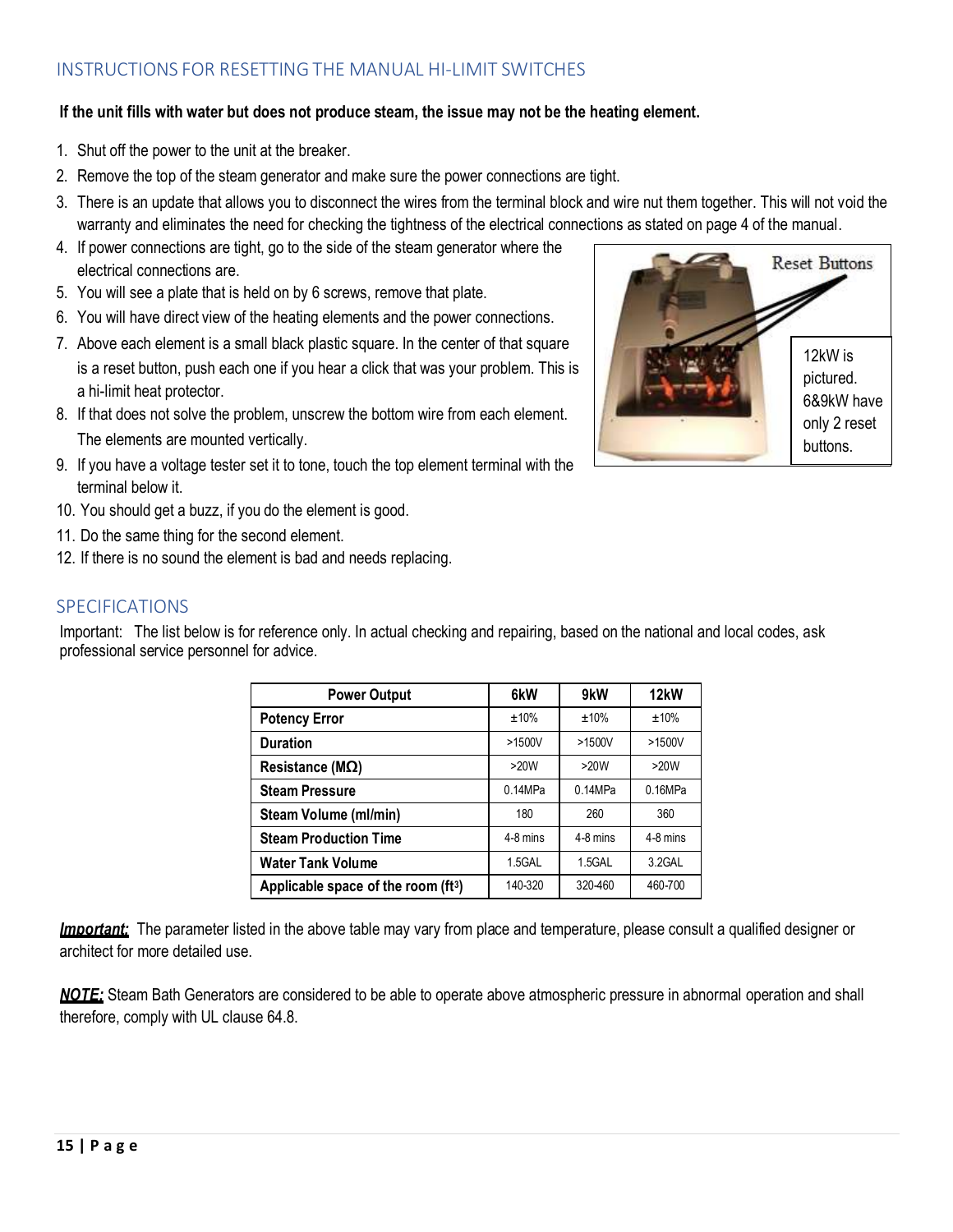## <span id="page-15-0"></span>INSTRUCTIONS FOR RESETTING THE MANUAL HI-LIMIT SWITCHES

#### **If the unit fills with water but does not produce steam, the issue may not be the heating element.**

- 1. Shut off the power to the unit at the breaker.
- 2. Remove the top of the steam generator and make sure the power connections are tight.
- 3. There is an update that allows you to disconnect the wires from the terminal block and wire nut them together. This will not void the warranty and eliminates the need for checking the tightness of the electrical connections as stated on page 4 of the manual.
- 4. If power connections are tight, go to the side of the steam generator where the electrical connections are.
- 5. You will see a plate that is held on by 6 screws, remove that plate.
- 6. You will have direct view of the heating elements and the power connections.
- 7. Above each element is a small black plastic square. In the center of that square is a reset button, push each one if you hear a click that was your problem. This is a hi-limit heat protector.
- 8. If that does not solve the problem, unscrew the bottom wire from each element. The elements are mounted vertically.
- 9. If you have a voltage tester set it to tone, touch the top element terminal with the terminal below it.
- 10. You should get a buzz, if you do the element is good.
- 11. Do the same thing for the second element.
- 12. If there is no sound the element is bad and needs replacing.

#### <span id="page-15-1"></span>SPECIFICATIONS

Important: The list below is for reference only. In actual checking and repairing, based on the national and local codes, ask professional service personnel for advice.

| <b>Power Output</b>                             | 6kW      | 9kW        | 12 <sub>k</sub> W |
|-------------------------------------------------|----------|------------|-------------------|
| <b>Potency Error</b>                            | ±10%     | ±10%       | ±10%              |
| <b>Duration</b>                                 | >1500V   | $>1500V$   | >1500V            |
| Resistance ( $M\Omega$ )                        | >20W     | >20W       | >20W              |
| <b>Steam Pressure</b>                           | 0.14MPa  | 0.14MPa    | 0.16MPa           |
| Steam Volume (ml/min)                           | 180      | 260        | 360               |
| <b>Steam Production Time</b>                    | 4-8 mins | $4-8$ mins | $4-8$ mins        |
| <b>Water Tank Volume</b>                        | 1.5GAL   | 1.5GAL     | 3.2GAL            |
| Applicable space of the room (ft <sup>3</sup> ) | 140-320  | 320-460    | 460-700           |

*Important:* The parameter listed in the above table may vary from place and temperature, please consult a qualified designer or architect for more detailed use.

*NOTE:* Steam Bath Generators are considered to be able to operate above atmospheric pressure in abnormal operation and shall therefore, comply with UL clause 64.8.

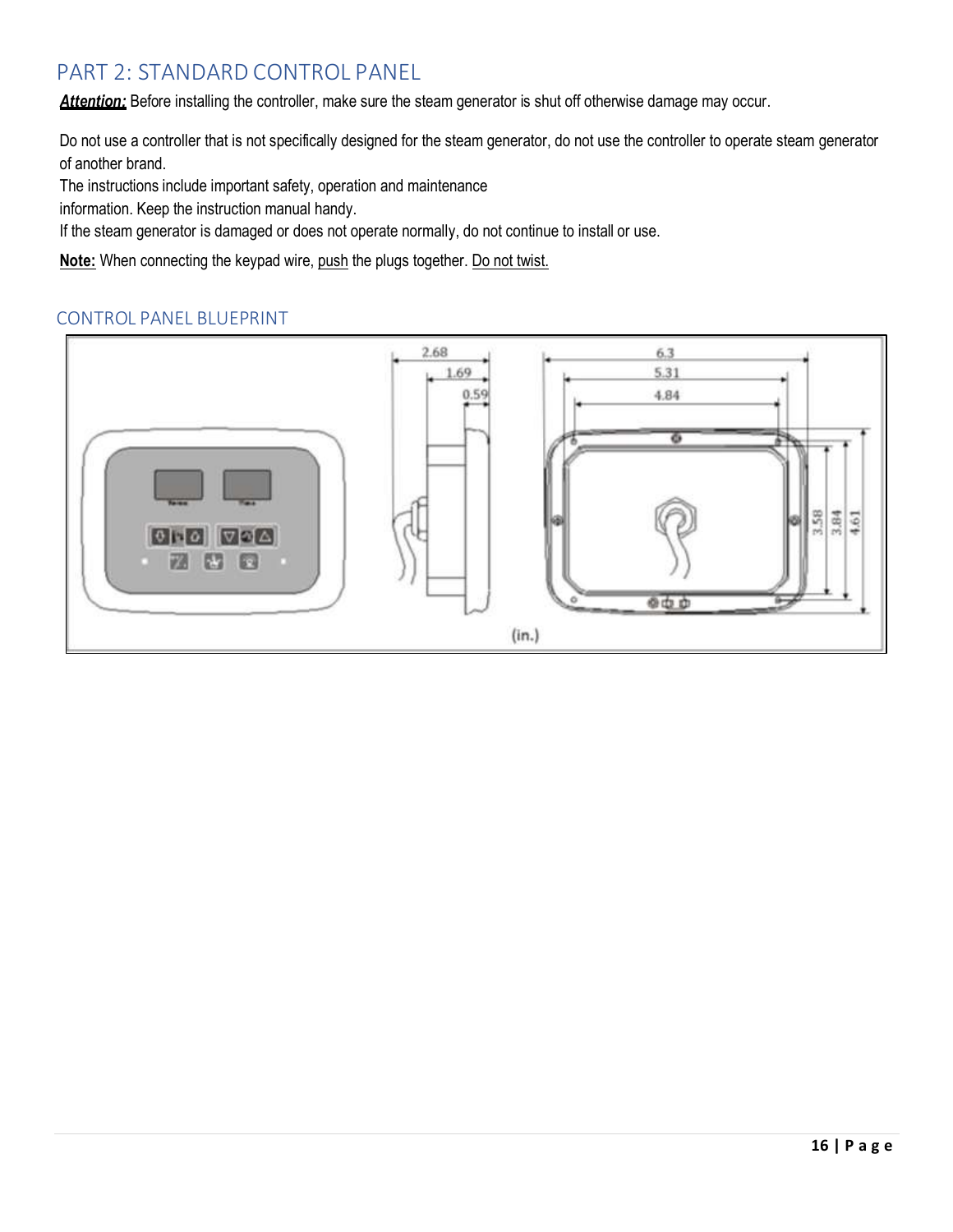## <span id="page-16-0"></span>PART 2: STANDARD CONTROL PANEL

*Attention:* Before installing the controller, make sure the steam generator is shut off otherwise damage may occur.

Do not use a controller that is not specifically designed for the steam generator, do not use the controller to operate steam generator of another brand.

The instructions include important safety, operation and maintenance

information. Keep the instruction manual handy.

If the steam generator is damaged or does not operate normally, do not continue to install or use.

Note: When connecting the keypad wire, push the plugs together. Do not twist.

## <span id="page-16-1"></span>CONTROL PANEL BLUEPRINT

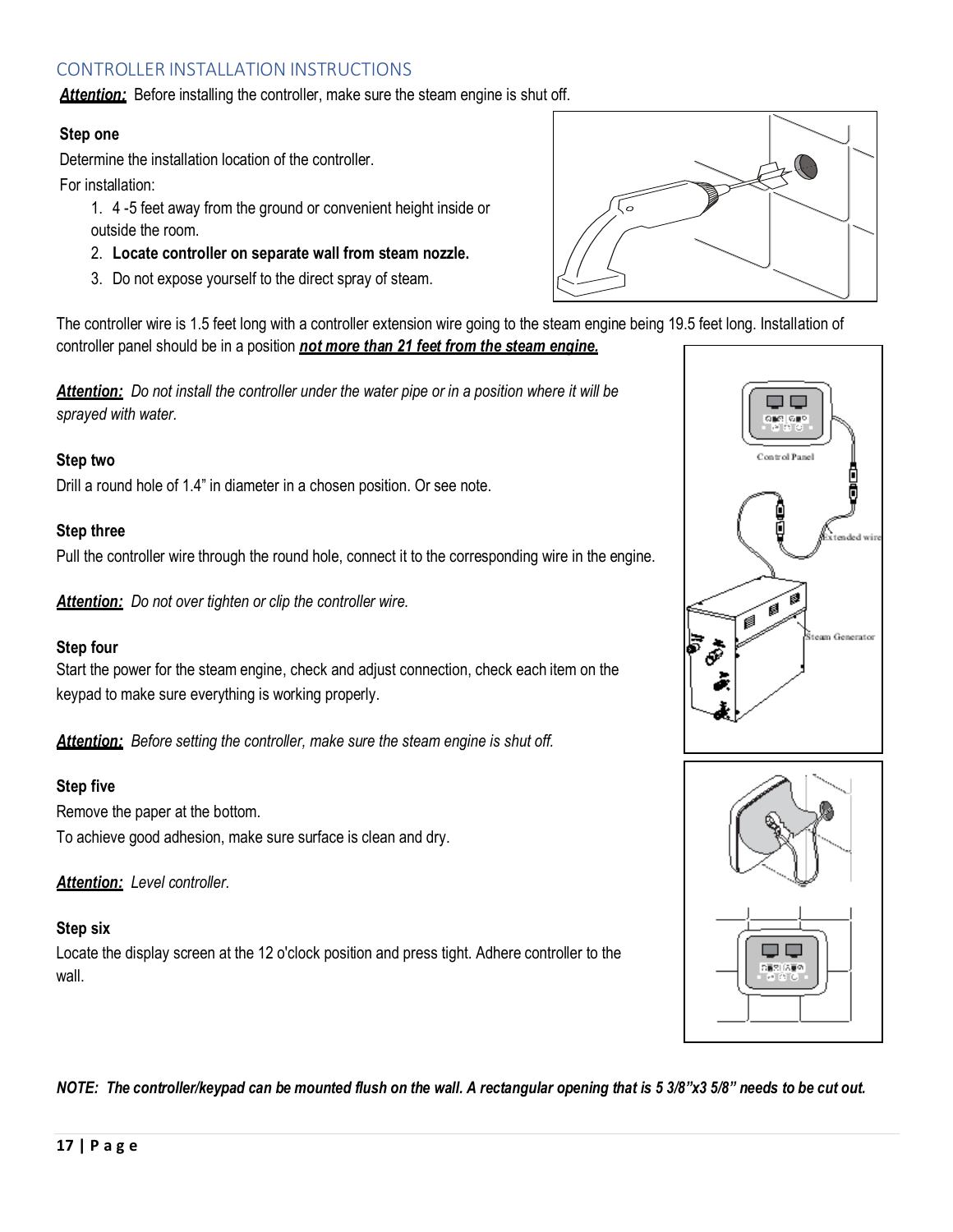## <span id="page-17-0"></span>CONTROLLER INSTALLATION INSTRUCTIONS

**Attention:** Before installing the controller, make sure the steam engine is shut off.

## **Step one**

Determine the installation location of the controller.

For installation:

1. 4 -5 feet away from the ground or convenient height inside or outside the room.

- 2. **Locate controller on separate wall from steam nozzle.**
- 3. Do not expose yourself to the direct spray of steam.

The controller wire is 1.5 feet long with a controller extension wire going to the steam engine being 19.5 feet long. Installation of controller panel should be in a position *not more than 21 feet from the steam engine.*

*Attention: Do not install the controller under the water pipe or in a position where it will be sprayed with water.*

## **Step two**

Drill a round hole of 1.4" in diameter in a chosen position. Or see note.

## **Step three**

Pull the controller wire through the round hole, connect it to the corresponding wire in the engine.

*Attention: Do not over tighten or clip the controller wire.*

## **Step four**

Start the power for the steam engine, check and adjust connection, check each item on the keypad to make sure everything is working properly.

*Attention: Before setting the controller, make sure the steam engine is shut off.*

## **Step five**

Remove the paper at the bottom. To achieve good adhesion, make sure surface is clean and dry.

*Attention: Level controller.*

## **Step six**

Locate the display screen at the 12 o'clock position and press tight. Adhere controller to the wall.







*NOTE: The controller/keypad can be mounted flush on the wall. A rectangular opening that is 5 3/8"x3 5/8" needs to be cut out.*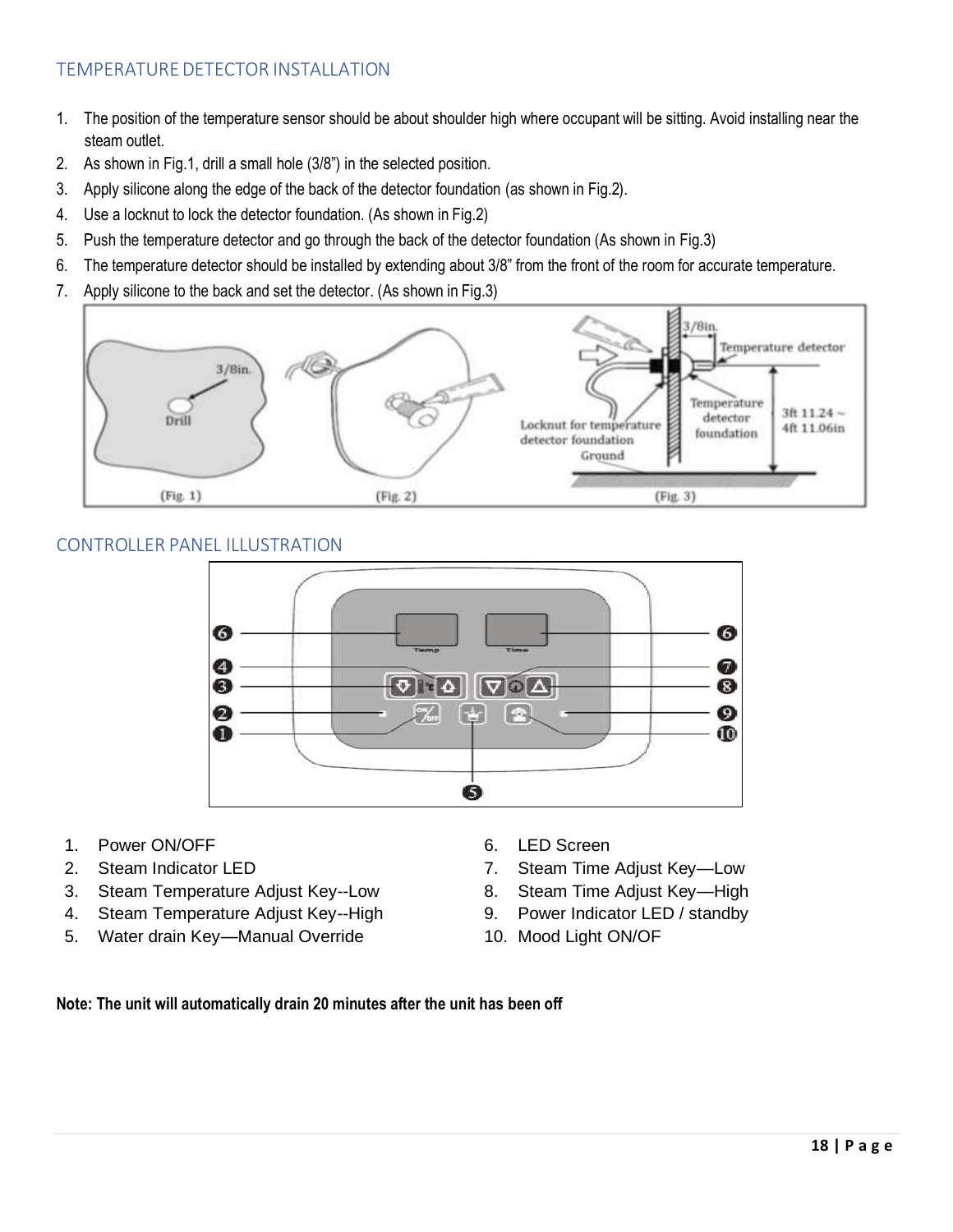## <span id="page-18-0"></span>TEMPERATURE DETECTOR INSTALLATION

- 1. The position of the temperature sensor should be about shoulder high where occupant will be sitting. Avoid installing near the steam outlet.
- 2. As shown in Fig.1, drill a small hole (3/8") in the selected position.
- 3. Apply silicone along the edge of the back of the detector foundation (as shown in Fig.2).
- 4. Use a locknut to lock the detector foundation. (As shown in Fig.2)
- 5. Push the temperature detector and go through the back of the detector foundation (As shown in Fig.3)
- 6. The temperature detector should be installed by extending about 3/8" from the front of the room for accurate temperature.
- 7. Apply silicone to the back and set the detector. (As shown in Fig.3)



## <span id="page-18-1"></span>CONTROLLER PANEL ILLUSTRATION



- 1. Power ON/OFF 6. LED Screen
- 
- 3. Steam Temperature Adjust Key--Low 8. Steam Time Adjust Key—High
- 4. Steam Temperature Adjust Key--High 9. Power Indicator LED / standby
- 5. Water drain Key-Manual Override 10. Mood Light ON/OF
- 
- 2. Steam Indicator LED 2. Steam Time Adjust Key-Low
	-
	-
	-

#### <span id="page-18-2"></span>**Note: The unit will automatically drain 20 minutes after the unit has been off**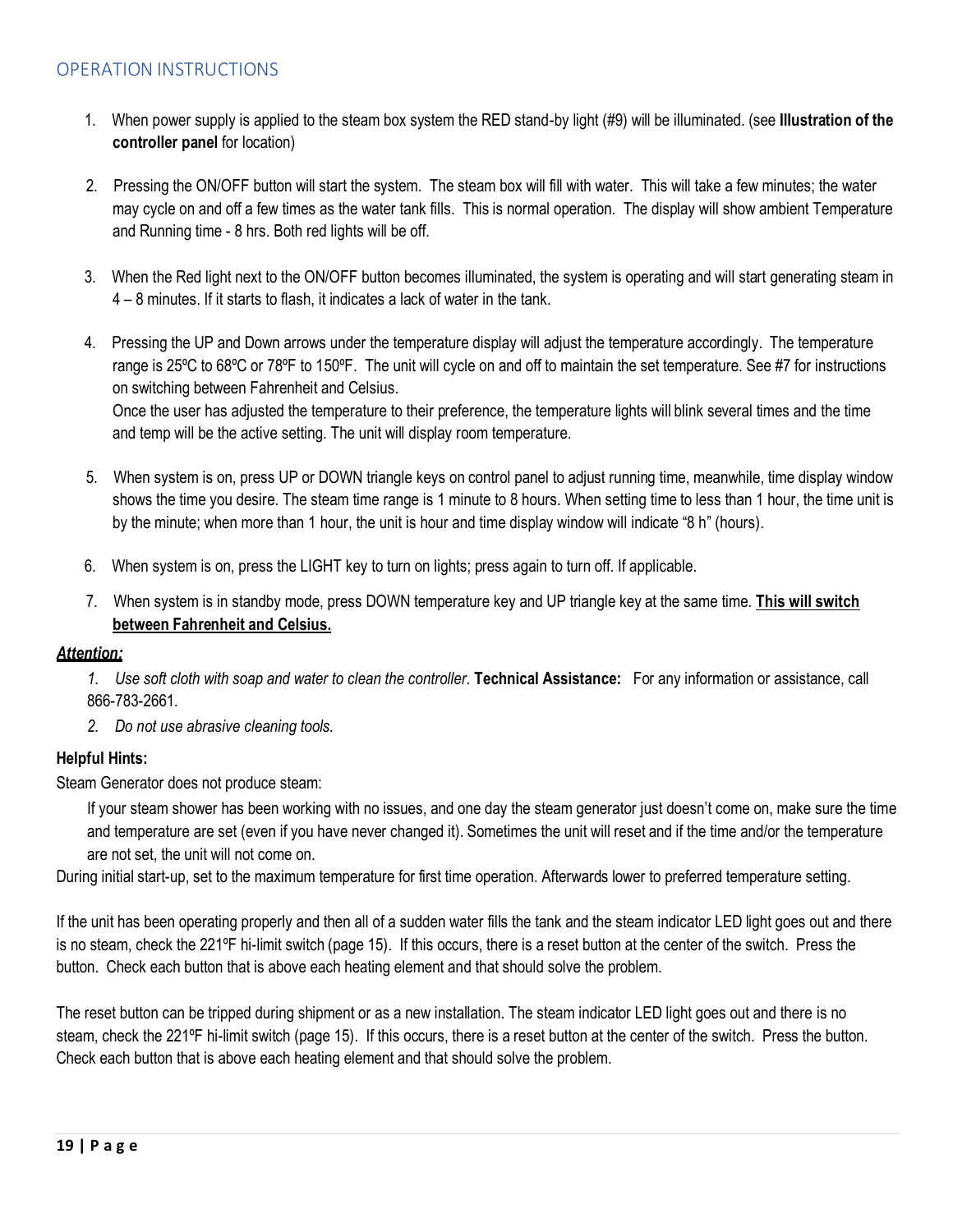## OPERATION INSTRUCTIONS

- 1. When power supply is applied to the steam box system the RED stand-by light (#9) will be illuminated. (see **Illustration of the controller panel** for location)
- 2. Pressing the ON/OFF button will start the system. The steam box will fill with water. This will take a few minutes; the water may cycle on and off a few times as the water tank fills. This is normal operation. The display will show ambient Temperature and Running time - 8 hrs. Both red lights will be off.
- 3. When the Red light next to the ON/OFF button becomes illuminated, the system is operating and will start generating steam in 4 – 8 minutes. If it starts to flash, it indicates a lack of water in the tank.
- 4. Pressing the UP and Down arrows under the temperature display will adjust the temperature accordingly. The temperature range is 25ºC to 68ºC or 78ºF to 150ºF. The unit will cycle on and off to maintain the set temperature. See #7 for instructions on switching between Fahrenheit and Celsius.

Once the user has adjusted the temperature to their preference, the temperature lights will blink several times and the time and temp will be the active setting. The unit will display room temperature.

- 5. When system is on, press UP or DOWN triangle keys on control panel to adjust running time, meanwhile, time display window shows the time you desire. The steam time range is 1 minute to 8 hours. When setting time to less than 1 hour, the time unit is by the minute; when more than 1 hour, the unit is hour and time display window will indicate "8 h" (hours).
- 6. When system is on, press the LIGHT key to turn on lights; press again to turn off. If applicable.
- 7. When system is in standby mode, press DOWN temperature key and UP triangle key at the same time. **This will switch between Fahrenheit and Celsius.**

#### *Attention:*

- *1. Use soft cloth with soap and water to clean the controller.* **Technical Assistance:** For any information or assistance, call 866-783-2661*.*
- *2. Do not use abrasive cleaning tools.*

## **Helpful Hints:**

Steam Generator does not produce steam:

If your steam shower has been working with no issues, and one day the steam generator just doesn't come on, make sure the time and temperature are set (even if you have never changed it). Sometimes the unit will reset and if the time and/or the temperature are not set, the unit will not come on.

During initial start-up, set to the maximum temperature for first time operation. Afterwards lower to preferred temperature setting.

If the unit has been operating properly and then all of a sudden water fills the tank and the steam indicator LED light goes out and there is no steam, check the 221ºF hi-limit switch (page 15). If this occurs, there is a reset button at the center of the switch. Press the button. Check each button that is above each heating element and that should solve the problem.

The reset button can be tripped during shipment or as a new installation. The steam indicator LED light goes out and there is no steam, check the 221ºF hi-limit switch (page 15). If this occurs, there is a reset button at the center of the switch. Press the button. Check each button that is above each heating element and that should solve the problem.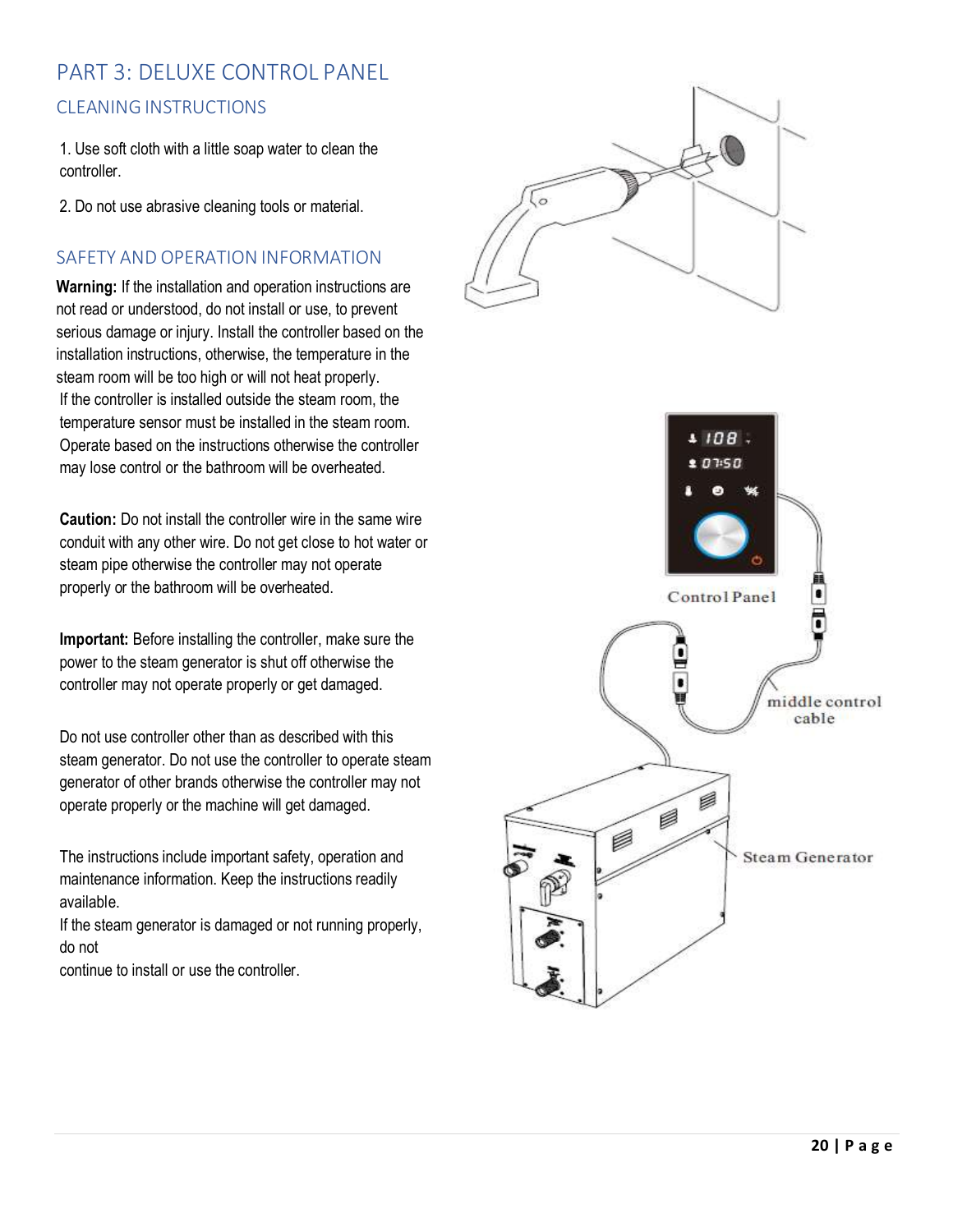## <span id="page-20-1"></span><span id="page-20-0"></span>PART 3: DELUXE CONTROL PANEL CLEANINGINSTRUCTIONS

1. Use soft cloth with a little soap water to clean the controller.

2. Do not use abrasive cleaning tools or material.

## <span id="page-20-2"></span>SAFETY AND OPERATION INFORMATION

**Warning:** If the installation and operation instructions are not read or understood, do not install or use, to prevent serious damage or injury. Install the controller based on the installation instructions, otherwise, the temperature in the steam room will be too high or will not heat properly. If the controller is installed outside the steam room, the temperature sensor must be installed in the steam room. Operate based on the instructions otherwise the controller may lose control or the bathroom will be overheated.

**Caution:** Do not install the controller wire in the same wire conduit with any other wire. Do not get close to hot water or steam pipe otherwise the controller may not operate properly or the bathroom will be overheated.

**Important:** Before installing the controller, make sure the power to the steam generator is shut off otherwise the controller may not operate properly or get damaged.

Do not use controller other than as described with this steam generator. Do not use the controller to operate steam generator of other brands otherwise the controller may not operate properly or the machine will get damaged.

The instructions include important safety, operation and maintenance information. Keep the instructions readily available.

If the steam generator is damaged or not running properly, do not

continue to install or use the controller.



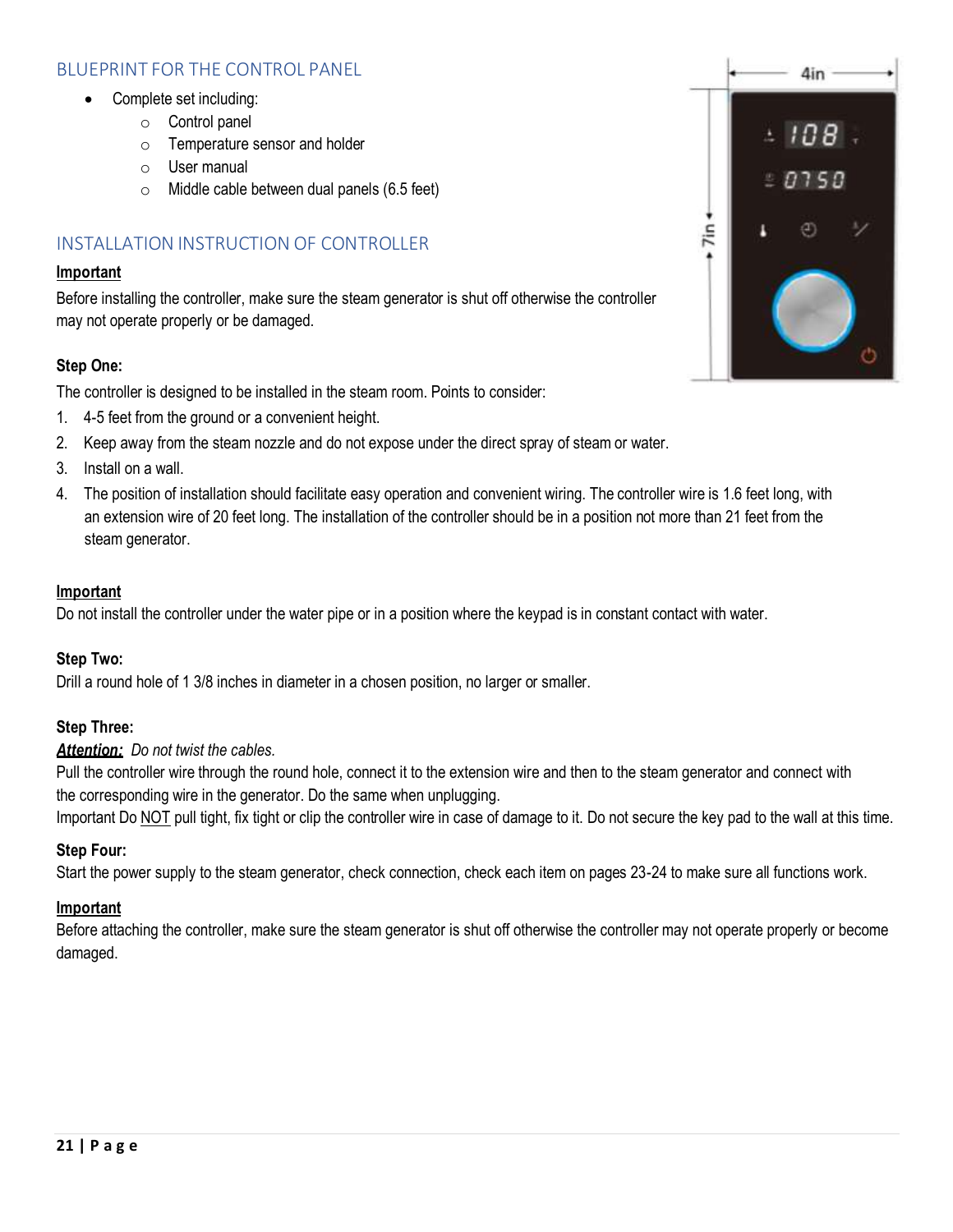## <span id="page-21-0"></span>BLUEPRINT FOR THE CONTROL PANEL

- Complete set including:
	- o Control panel
	- o Temperature sensor and holder
	- o User manual
	- o Middle cable between dual panels (6.5 feet)

## <span id="page-21-1"></span>INSTALLATION INSTRUCTION OF CONTROLLER

#### **Important**

Before installing the controller, make sure the steam generator is shut off otherwise the controller may not operate properly or be damaged.

## **Step One:**

The controller is designed to be installed in the steam room. Points to consider:

- 1. 4-5 feet from the ground or a convenient height.
- 2. Keep away from the steam nozzle and do not expose under the direct spray of steam or water.
- 3. Install on a wall.
- 4. The position of installation should facilitate easy operation and convenient wiring. The controller wire is 1.6 feet long, with an extension wire of 20 feet long. The installation of the controller should be in a position not more than 21 feet from the steam generator.

#### **Important**

Do not install the controller under the water pipe or in a position where the keypad is in constant contact with water.

## **Step Two:**

Drill a round hole of 1 3/8 inches in diameter in a chosen position, no larger or smaller.

## **Step Three:**

*Attention: Do not twist the cables.*

Pull the controller wire through the round hole, connect it to the extension wire and then to the steam generator and connect with the corresponding wire in the generator. Do the same when unplugging.

Important Do NOT pull tight, fix tight or clip the controller wire in case of damage to it. Do not secure the key pad to the wall at this time.

## **Step Four:**

Start the power supply to the steam generator, check connection, check each item on pages 23-24 to make sure all functions work.

## **Important**

Before attaching the controller, make sure the steam generator is shut off otherwise the controller may not operate properly or become damaged.

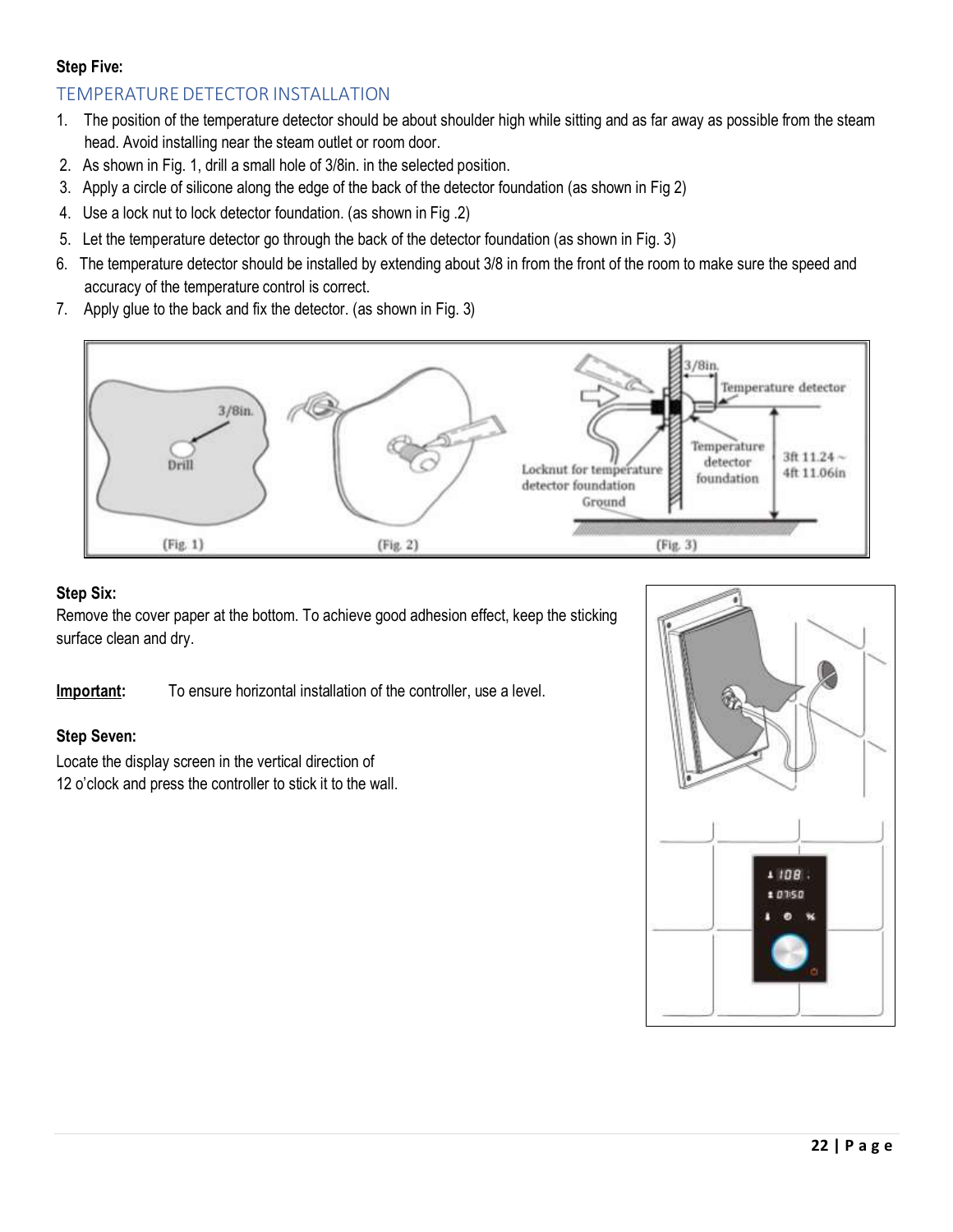## **Step Five:**

## <span id="page-22-0"></span>TEMPERATURE DETECTOR INSTALLATION

- 1. The position of the temperature detector should be about shoulder high while sitting and as far away as possible from the steam head. Avoid installing near the steam outlet or room door.
- 2. As shown in Fig. 1, drill a small hole of 3/8in. in the selected position.
- 3. Apply a circle of silicone along the edge of the back of the detector foundation (as shown in Fig 2)
- 4. Use a lock nut to lock detector foundation. (as shown in Fig .2)
- 5. Let the temperature detector go through the back of the detector foundation (as shown in Fig. 3)
- 6. The temperature detector should be installed by extending about 3/8 in from the front of the room to make sure the speed and accuracy of the temperature control is correct.
- 7. Apply glue to the back and fix the detector. (as shown in Fig. 3)



## **Step Six:**

Remove the cover paper at the bottom. To achieve good adhesion effect, keep the sticking surface clean and dry.

**Important:** To ensure horizontal installation of the controller, use a level.

## **Step Seven:**

Locate the display screen in the vertical direction of 12 o'clock and press the controller to stick it to the wall.

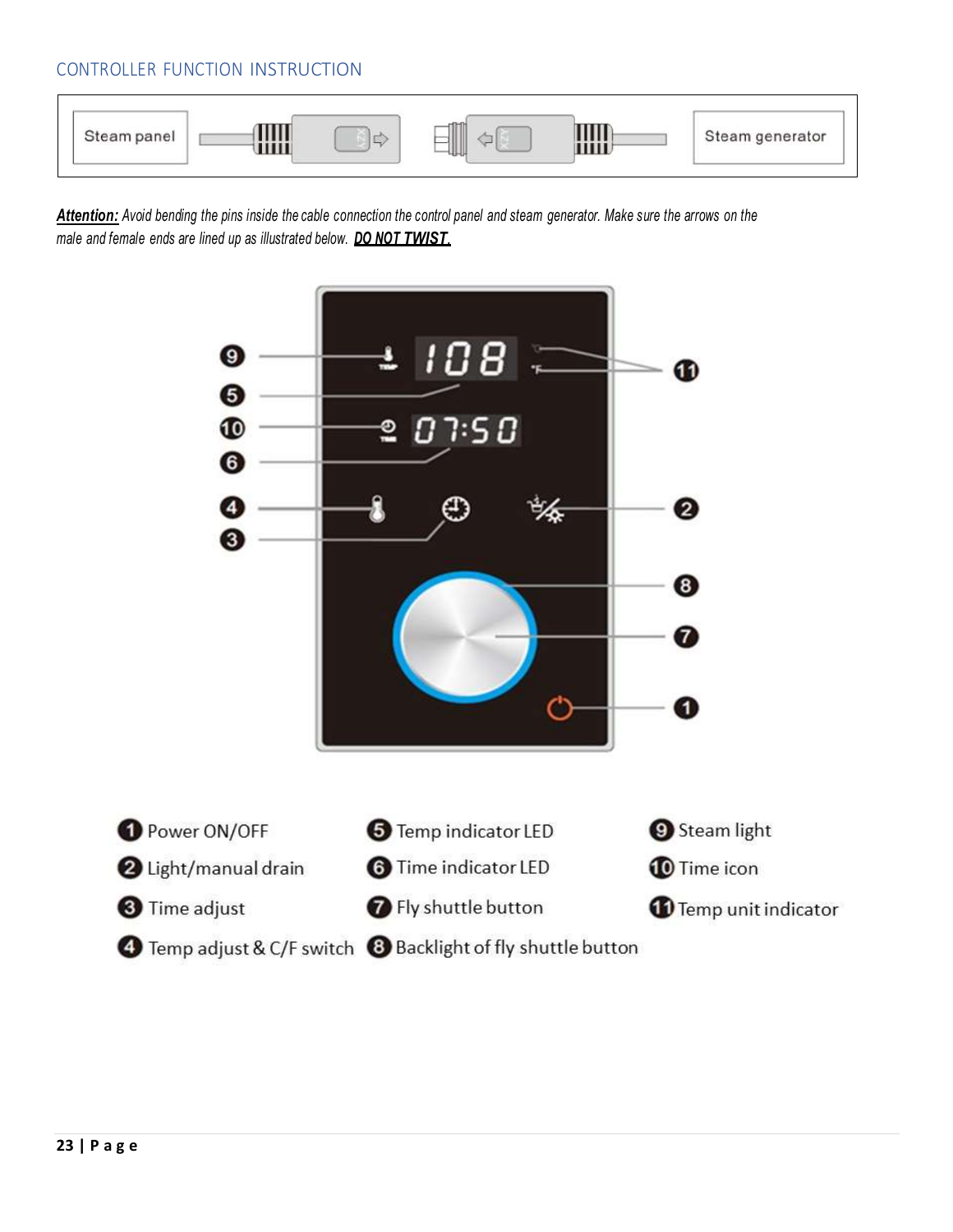## <span id="page-23-0"></span>CONTROLLER FUNCTION INSTRUCTION



Attention: Avoid bending the pins inside the cable connection the control panel and steam generator. Make sure the arrows on the *male and female ends are lined up as illustrated below. DO NOT TWIST.*

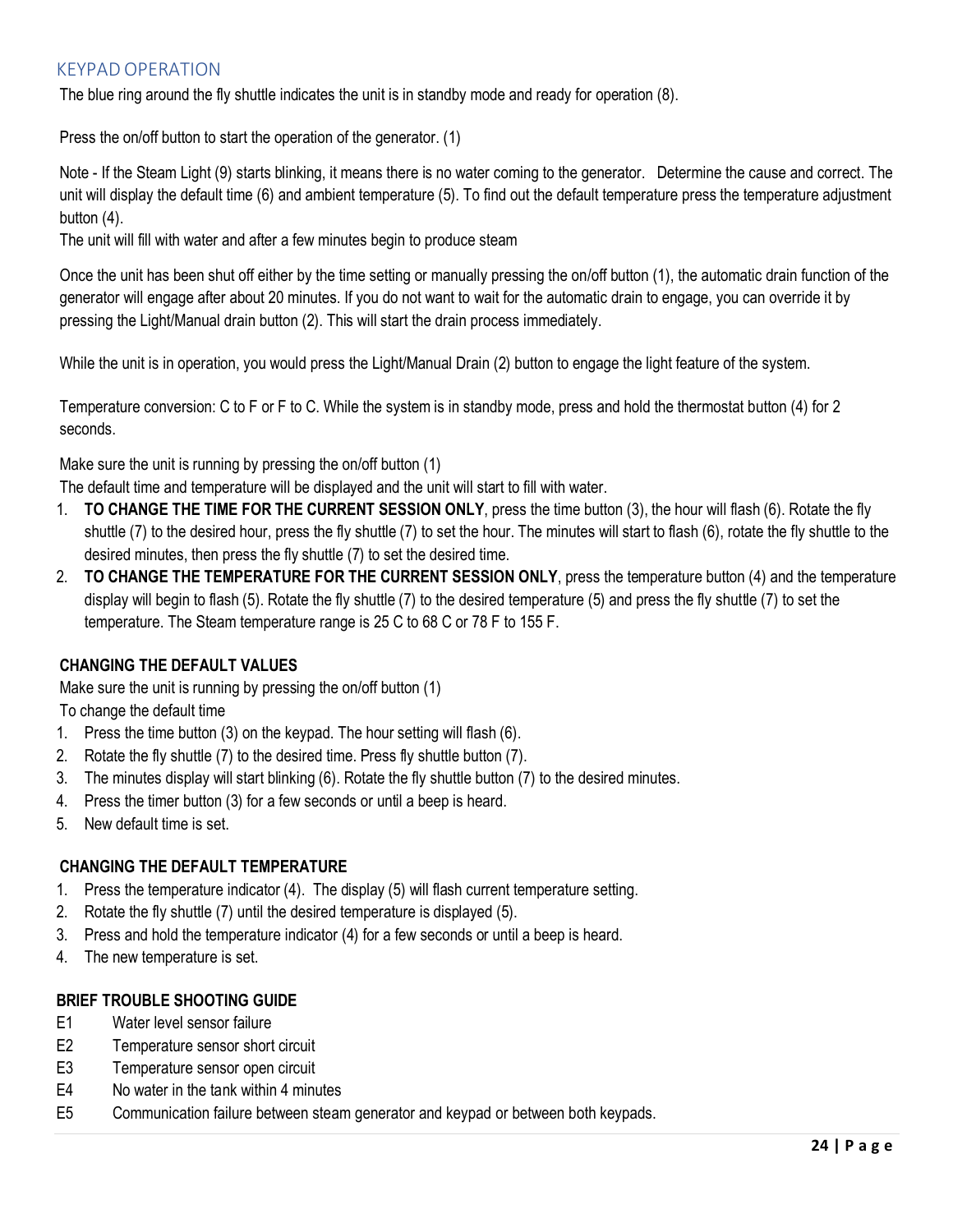## <span id="page-24-0"></span>KEYPAD OPERATION

The blue ring around the fly shuttle indicates the unit is in standby mode and ready for operation (8).

Press the on/off button to start the operation of the generator. (1)

Note - If the Steam Light (9) starts blinking, it means there is no water coming to the generator. Determine the cause and correct. The unit will display the default time (6) and ambient temperature (5). To find out the default temperature press the temperature adjustment button (4).

The unit will fill with water and after a few minutes begin to produce steam

Once the unit has been shut off either by the time setting or manually pressing the on/off button (1), the automatic drain function of the generator will engage after about 20 minutes. If you do not want to wait for the automatic drain to engage, you can override it by pressing the Light/Manual drain button (2). This will start the drain process immediately.

While the unit is in operation, you would press the Light/Manual Drain (2) button to engage the light feature of the system.

Temperature conversion: C to F or F to C. While the system is in standby mode, press and hold the thermostat button (4) for 2 seconds.

Make sure the unit is running by pressing the on/off button (1)

The default time and temperature will be displayed and the unit will start to fill with water.

- 1. **TO CHANGE THE TIME FOR THE CURRENT SESSION ONLY**, press the time button (3), the hour will flash (6). Rotate the fly shuttle (7) to the desired hour, press the fly shuttle (7) to set the hour. The minutes will start to flash (6), rotate the fly shuttle to the desired minutes, then press the fly shuttle (7) to set the desired time.
- 2. **TO CHANGE THE TEMPERATURE FOR THE CURRENT SESSION ONLY**, press the temperature button (4) and the temperature display will begin to flash (5). Rotate the fly shuttle (7) to the desired temperature (5) and press the fly shuttle (7) to set the temperature. The Steam temperature range is 25 C to 68 C or 78 F to 155 F.

## **CHANGING THE DEFAULT VALUES**

Make sure the unit is running by pressing the on/off button (1)

To change the default time

- 1. Press the time button (3) on the keypad. The hour setting will flash (6).
- 2. Rotate the fly shuttle (7) to the desired time. Press fly shuttle button (7).
- 3. The minutes display will start blinking (6). Rotate the fly shuttle button (7) to the desired minutes.
- 4. Press the timer button (3) for a few seconds or until a beep is heard.
- 5. New default time is set.

## **CHANGING THE DEFAULT TEMPERATURE**

- 1. Press the temperature indicator (4). The display (5) will flash current temperature setting.
- 2. Rotate the fly shuttle (7) until the desired temperature is displayed (5).
- 3. Press and hold the temperature indicator (4) for a few seconds or until a beep is heard.
- 4. The new temperature is set.

## **BRIEF TROUBLE SHOOTING GUIDE**

- E1 Water level sensor failure
- E2 Temperature sensor short circuit
- E3 Temperature sensor open circuit
- E4 No water in the tank within 4 minutes
- E5 Communication failure between steam generator and keypad or between both keypads.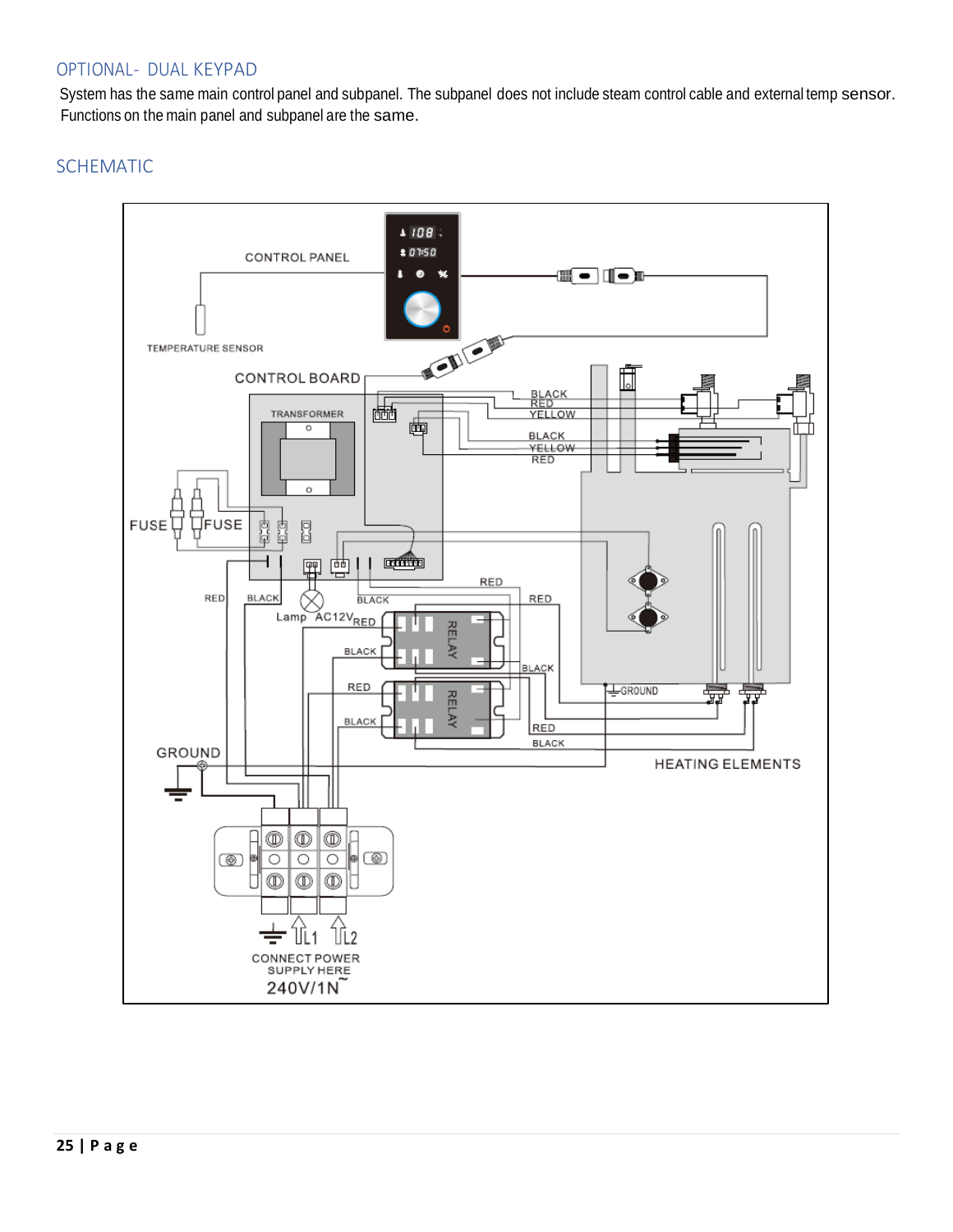## <span id="page-25-0"></span>OPTIONAL- DUAL KEYPAD

System has the same main control panel and subpanel. The subpanel does not include steam control cable and external temp sensor. Functions on the main panel and subpanel are the same.

## <span id="page-25-2"></span><span id="page-25-1"></span>SCHEMATIC

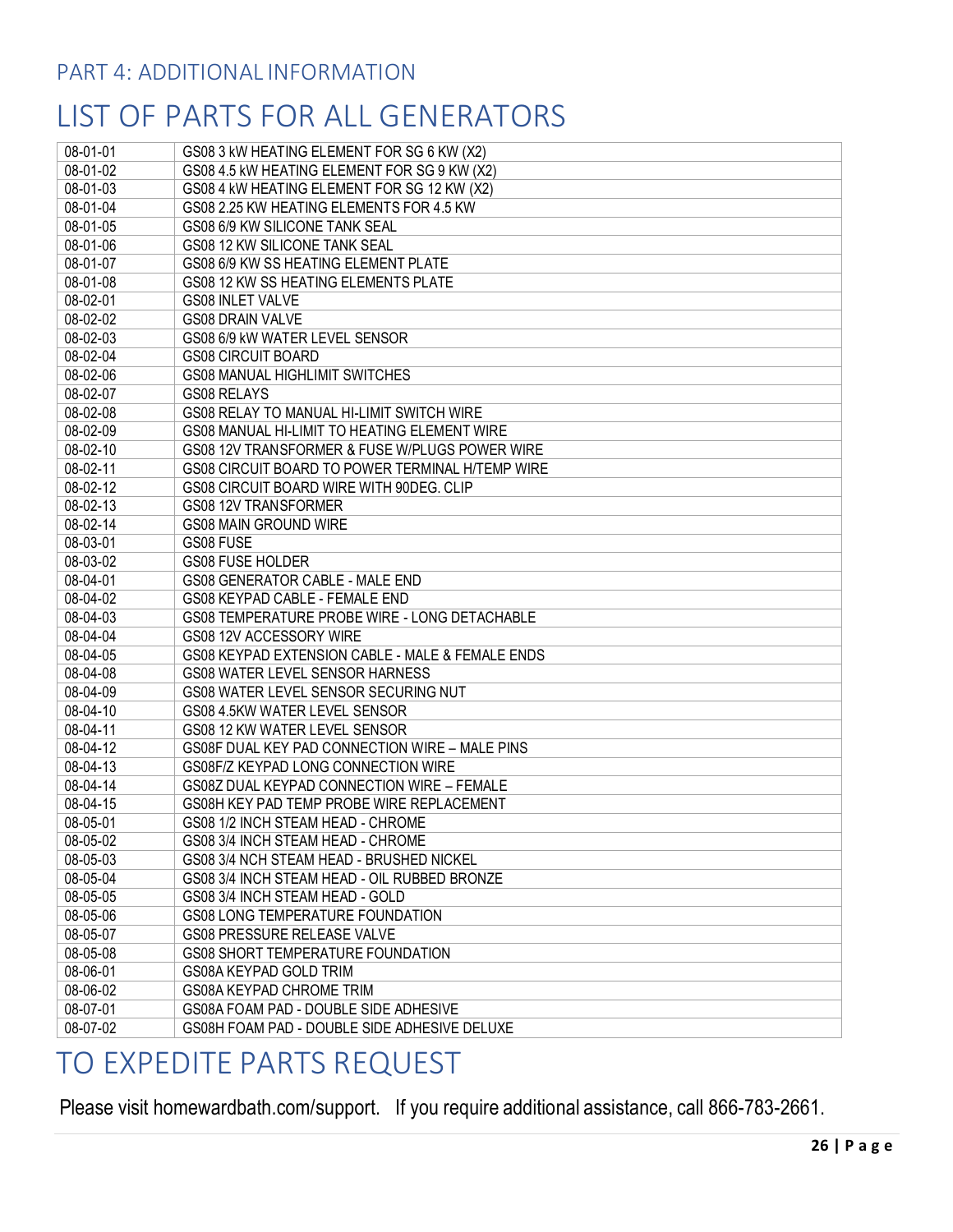# <span id="page-26-0"></span>LIST OF PARTS FOR ALL GENERATORS

| 08-01-01 | GS08 3 kW HEATING ELEMENT FOR SG 6 KW (X2)       |
|----------|--------------------------------------------------|
| 08-01-02 | GS08 4.5 kW HEATING ELEMENT FOR SG 9 KW (X2)     |
| 08-01-03 | GS08 4 kW HEATING ELEMENT FOR SG 12 KW (X2)      |
| 08-01-04 | GS08 2.25 KW HEATING ELEMENTS FOR 4.5 KW         |
| 08-01-05 | GS08 6/9 KW SILICONE TANK SEAL                   |
| 08-01-06 | GS08 12 KW SILICONE TANK SEAL                    |
| 08-01-07 | GS08 6/9 KW SS HEATING ELEMENT PLATE             |
| 08-01-08 | GS08 12 KW SS HEATING ELEMENTS PLATE             |
| 08-02-01 | <b>GS08 INLET VALVE</b>                          |
| 08-02-02 | GS08 DRAIN VALVE                                 |
| 08-02-03 | GS08 6/9 kW WATER LEVEL SENSOR                   |
| 08-02-04 | <b>GS08 CIRCUIT BOARD</b>                        |
| 08-02-06 | GS08 MANUAL HIGHLIMIT SWITCHES                   |
| 08-02-07 | GS08 RELAYS                                      |
| 08-02-08 | GS08 RELAY TO MANUAL HI-LIMIT SWITCH WIRE        |
| 08-02-09 | GS08 MANUAL HI-LIMIT TO HEATING ELEMENT WIRE     |
| 08-02-10 | GS08 12V TRANSFORMER & FUSE W/PLUGS POWER WIRE   |
| 08-02-11 | GS08 CIRCUIT BOARD TO POWER TERMINAL H/TEMP WIRE |
| 08-02-12 | GS08 CIRCUIT BOARD WIRE WITH 90DEG, CLIP         |
| 08-02-13 | GS08 12V TRANSFORMER                             |
| 08-02-14 | <b>GS08 MAIN GROUND WIRE</b>                     |
| 08-03-01 | GS08 FUSE                                        |
| 08-03-02 | <b>GS08 FUSE HOLDER</b>                          |
| 08-04-01 | GS08 GENERATOR CABLE - MALE END                  |
| 08-04-02 | GS08 KEYPAD CABLE - FEMALE END                   |
| 08-04-03 | GS08 TEMPERATURE PROBE WIRE - LONG DETACHABLE    |
| 08-04-04 | GS08 12V ACCESSORY WIRE                          |
| 08-04-05 | GS08 KEYPAD EXTENSION CABLE - MALE & FEMALE ENDS |
| 08-04-08 | GS08 WATER LEVEL SENSOR HARNESS                  |
| 08-04-09 | GS08 WATER LEVEL SENSOR SECURING NUT             |
| 08-04-10 | GS08 4.5KW WATER LEVEL SENSOR                    |
| 08-04-11 | GS08 12 KW WATER LEVEL SENSOR                    |
| 08-04-12 | GS08F DUAL KEY PAD CONNECTION WIRE - MALE PINS   |
| 08-04-13 | GS08F/Z KEYPAD LONG CONNECTION WIRE              |
| 08-04-14 | GS08Z DUAL KEYPAD CONNECTION WIRE - FEMALE       |
| 08-04-15 | GS08H KEY PAD TEMP PROBE WIRE REPLACEMENT        |
| 08-05-01 | GS08 1/2 INCH STEAM HEAD - CHROME                |
| 08-05-02 | GS08 3/4 INCH STEAM HEAD - CHROME                |
| 08-05-03 | GS08 3/4 NCH STEAM HEAD - BRUSHED NICKEL         |
| 08-05-04 | GS08 3/4 INCH STEAM HEAD - OIL RUBBED BRONZE     |
| 08-05-05 | GS08 3/4 INCH STEAM HEAD - GOLD                  |
| 08-05-06 | GS08 LONG TEMPERATURE FOUNDATION                 |
| 08-05-07 | GS08 PRESSURE RELEASE VALVE                      |
| 08-05-08 | GS08 SHORT TEMPERATURE FOUNDATION                |
| 08-06-01 | GS08A KEYPAD GOLD TRIM                           |
| 08-06-02 | GS08A KEYPAD CHROME TRIM                         |
| 08-07-01 | GS08A FOAM PAD - DOUBLE SIDE ADHESIVE            |
| 08-07-02 | GS08H FOAM PAD - DOUBLE SIDE ADHESIVE DELUXE     |

## <span id="page-26-1"></span>TO EXPEDITE PARTS REQUEST

Please visit homewardbath.com/support. If you require additional assistance, call 866-783-2661.